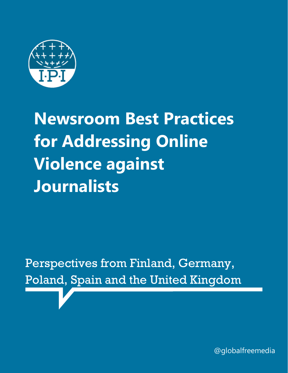

**Newsroom Best Practices for Addressing Online Violence against Journalists**

Perspectives from Finland, Germany, Poland, Spain and the United Kingdom

@globalfreemedia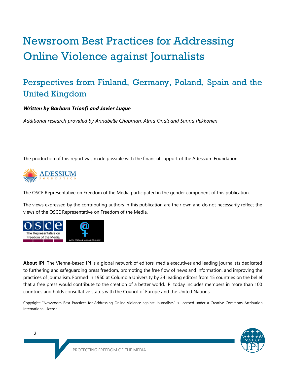# Newsroom Best Practices for Addressing Online Violence against Journalists

# Perspectives from Finland, Germany, Poland, Spain and the United Kingdom

#### *Written by Barbara Trionfi and Javier Luque*

*Additional research provided by Annabelle Chapman, Alma Onali and Sanna Pekkonen* 

The production of this report was made possible with the financial support of the Adessium Foundation



The OSCE Representative on Freedom of the Media participated in the gender component of this publication.

The views expressed by the contributing authors in this publication are their own and do not necessarily reflect the views of the OSCE Representative on Freedom of the Media.



**About IPI**: The Vienna-based IPI is a global network of editors, media executives and leading journalists dedicated to furthering and safeguarding press freedom, promoting the free flow of news and information, and improving the practices of journalism. Formed in 1950 at Columbia University by 34 leading editors from 15 countries on the belief that a free press would contribute to the creation of a better world, IPI today includes members in more than 100 countries and holds consultative status with the Council of Europe and the United Nations.

Copyright: "Newsroom Best Practices for Addressing Online Violence against Journalists" is licensed under a Creative Commons Attribution International License.

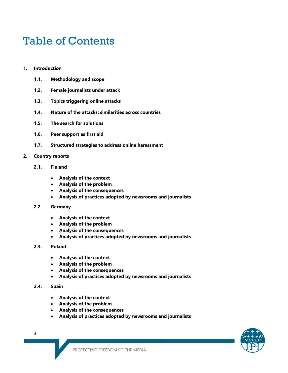# Table of Contents

- **1. Introduction**
	- **1.1. Methodology and scope**
	- **1.2. Female journalists under attack**
	- **1.3. Topics triggering online attacks**
	- **1.4. Nature of the attacks: similarities across countries**
	- **1.5. The search for solutions**
	- **1.6. Peer support as first aid**
	- **1.7. Structured strategies to address online harassment**
- **2. Country reports**
	- **2.1. Finland**
		- **Analysis of the context**
		- **Analysis of the problem**
		- **Analysis of the consequences**
		- **Analysis of practices adopted by newsrooms and journalists**
	- **2.2. Germany**
		- **Analysis of the context**
		- **Analysis of the problem**
		- **Analysis of the consequences**
		- **Analysis of practices adopted by newsrooms and journalists**
	- **2.3. Poland**
		- **Analysis of the context**
		- **Analysis of the problem**
		- **Analysis of the consequences**
		- **Analysis of practices adopted by newsrooms and journalists**

#### **2.4. Spain**

- **Analysis of the context**
- **Analysis of the problem**
- **Analysis of the consequences**
- **Analysis of practices adopted by newsrooms and journalists**



3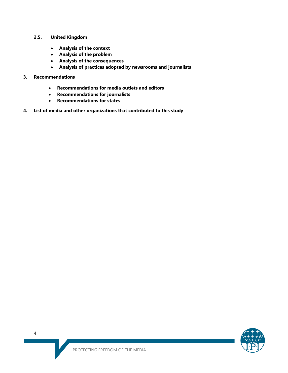- **2.5. United Kingdom**
	- **Analysis of the context**
	- **Analysis of the problem**
	- **Analysis of the consequences**
	- **Analysis of practices adopted by newsrooms and journalists**
- **3. Recommendations**
	- **Recommendations for media outlets and editors**
	- **Recommendations for journalists**
	- **Recommendations for states**
- **4. List of media and other organizations that contributed to this study**

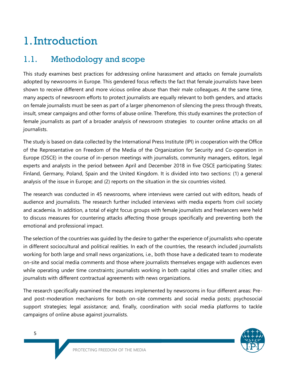# 1.Introduction

# 1.1. Methodology and scope

This study examines best practices for addressing online harassment and attacks on female journalists adopted by newsrooms in Europe. This gendered focus reflects the fact that female journalists have been shown to receive different and more vicious online abuse than their male colleagues. At the same time, many aspects of newsroom efforts to protect journalists are equally relevant to both genders, and attacks on female journalists must be seen as part of a larger phenomenon of silencing the press through threats, insult, smear campaigns and other forms of abuse online. Therefore, this study examines the protection of female journalists as part of a broader analysis of newsroom strategies to counter online attacks on all journalists.

The study is based on data collected by the International Press Institute (IPI) in cooperation with the Office of the Representative on Freedom of the Media of the Organization for Security and Co-operation in Europe (OSCE) in the course of in-person meetings with journalists, community managers, editors, legal experts and analysts in the period between April and December 2018 in five OSCE participating States: Finland, Germany, Poland, Spain and the United Kingdom. It is divided into two sections: (1) a general analysis of the issue in Europe; and (2) reports on the situation in the six countries visited.

The research was conducted in 45 newsrooms, where interviews were carried out with editors, heads of audience and journalists. The research further included interviews with media experts from civil society and academia. In addition, a total of eight focus groups with female journalists and freelancers were held to discuss measures for countering attacks affecting those groups specifically and preventing both the emotional and professional impact.

The selection of the countries was guided by the desire to gather the experience of journalists who operate in different sociocultural and political realities. In each of the countries, the research included journalists working for both large and small news organizations, i.e., both those have a dedicated team to moderate on-site and social media comments and those where journalists themselves engage with audiences even while operating under time constraints; journalists working in both capital cities and smaller cities; and journalists with different contractual agreements with news organizations.

The research specifically examined the measures implemented by newsrooms in four different areas: Preand post-moderation mechanisms for both on-site comments and social media posts; psychosocial support strategies; legal assistance; and, finally, coordination with social media platforms to tackle campaigns of online abuse against journalists.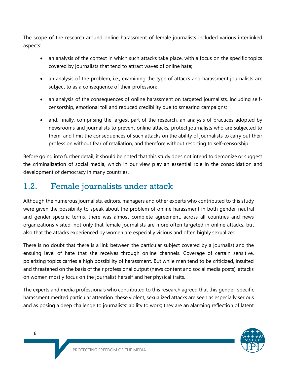The scope of the research around online harassment of female journalists included various interlinked aspects:

- an analysis of the context in which such attacks take place, with a focus on the specific topics covered by journalists that tend to attract waves of online hate;
- an analysis of the problem, i.e., examining the type of attacks and harassment journalists are subject to as a consequence of their profession;
- an analysis of the consequences of online harassment on targeted journalists, including selfcensorship, emotional toll and reduced credibility due to smearing campaigns;
- and, finally, comprising the largest part of the research, an analysis of practices adopted by newsrooms and journalists to prevent online attacks, protect journalists who are subjected to them, and limit the consequences of such attacks on the ability of journalists to carry out their profession without fear of retaliation, and therefore without resorting to self-censorship.

Before going into further detail, it should be noted that this study does not intend to demonize or suggest the criminalization of social media, which in our view play an essential role in the consolidation and development of democracy in many countries.

# 1.2. Female journalists under attack

Although the numerous journalists, editors, managers and other experts who contributed to this study were given the possibility to speak about the problem of online harassment in both gender-neutral and gender-specific terms, there was almost complete agreement, across all countries and news organizations visited, not only that female journalists are more often targeted in online attacks, but also that the attacks experienced by women are especially vicious and often highly sexualized.

There is no doubt that there is a link between the particular subject covered by a journalist and the ensuing level of hate that she receives through online channels. Coverage of certain sensitive, polarizing topics carries a high possibility of harassment. But while men tend to be criticized, insulted and threatened on the basis of their professional output (news content and social media posts), attacks on women mostly focus on the journalist herself and her physical traits.

The experts and media professionals who contributed to this research agreed that this gender-specific harassment merited particular attention. these violent, sexualized attacks are seen as especially serious and as posing a deep challenge to journalists' ability to work; they are an alarming reflection of latent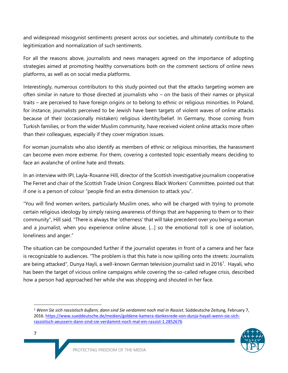and widespread misogynist sentiments present across our societies, and ultimately contribute to the legitimization and normalization of such sentiments.

For all the reasons above, journalists and news managers agreed on the importance of adopting strategies aimed at promoting healthy conversations both on the comment sections of online news platforms, as well as on social media platforms.

Interestingly, numerous contributors to this study pointed out that the attacks targeting women are often similar in nature to those directed at journalists who – on the basis of their names or physical traits – are perceived to have foreign origins or to belong to ethnic or religious minorities. In Poland, for instance, journalists perceived to be Jewish have been targets of violent waves of online attacks because of their (occasionally mistaken) religious identity/belief. In Germany, those coming from Turkish families, or from the wider Muslim community, have received violent online attacks more often than their colleagues, especially if they cover migration issues.

For woman journalists who also identify as members of ethnic or religious minorities, the harassment can become even more extreme. For them, covering a contested topic essentially means deciding to face an avalanche of online hate and threats.

In an interview with IPI, Layla-Roxanne Hill, director of the Scottish investigative journalism cooperative The Ferret and chair of the Scottish Trade Union Congress Black Workers' Committee, pointed out that if one is a person of colour "people find an extra dimension to attack you".

"You will find women writers, particularly Muslim ones, who will be charged with trying to promote certain religious ideology by simply raising awareness of things that are happening to them or to their community", Hill said. "There is always the 'otherness' that will take precedent over you being a woman and a journalist, when you experience online abuse, […] so the emotional toll is one of isolation, loneliness and anger."

The situation can be compounded further if the journalist operates in front of a camera and her face is recognizable to audiences. "The problem is that this hate is now spilling onto the streets: Journalists are being attacked", Dunya Hayli, a well-known German television journalist said in 2016<sup>1</sup>. Hayali, who has been the target of vicious online campaigns while covering the so-called refugee crisis, described how a person had approached her while she was shopping and shouted in her face.

<sup>1</sup> *Wenn Sie sich rassistisch äußern, dann sind Sie verdammt noch mal in Rassist*. Süddeutsche Zeitung, February 7, 2016. [https://www.sueddeutsche.de/medien/goldene-kamera-dankesrede-von-dunja-hayali-wenn-sie-sich](https://www.sueddeutsche.de/medien/goldene-kamera-dankesrede-von-dunja-hayali-wenn-sie-sich-rassistisch-aeussern-dann-sind-sie-verdammt-noch-mal-ein-rassist-1.2852676)[rassistisch-aeussern-dann-sind-sie-verdammt-noch-mal-ein-rassist-1.2852676](https://www.sueddeutsche.de/medien/goldene-kamera-dankesrede-von-dunja-hayali-wenn-sie-sich-rassistisch-aeussern-dann-sind-sie-verdammt-noch-mal-ein-rassist-1.2852676) 



 $\overline{\phantom{0}}$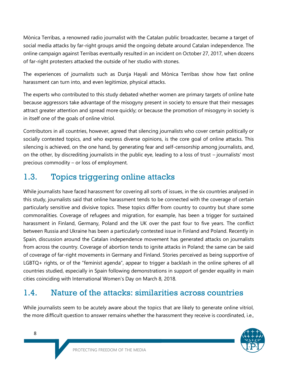Mònica Terribas, a renowned radio journalist with the Catalan public broadcaster, became a target of social media attacks by far-right groups amid the ongoing debate around Catalan independence. The online campaign against Terribas eventually resulted in an incident on October 27, 2017, when dozens of far-right protesters attacked the outside of her studio with stones.

The experiences of journalists such as Dunja Hayali and Mònica Terribas show how fast online harassment can turn into, and even legitimize, physical attacks.

The experts who contributed to this study debated whether women are primary targets of online hate because aggressors take advantage of the misogyny present in society to ensure that their messages attract greater attention and spread more quickly; or because the promotion of misogyny in society is in itself one of the goals of online vitriol.

Contributors in all countries, however, agreed that silencing journalists who cover certain politically or socially contested topics, and who express diverse opinions, is the core goal of online attacks. This silencing is achieved, on the one hand, by generating fear and self-censorship among journalists, and, on the other, by discrediting journalists in the public eye, leading to a loss of trust – journalists' most precious commodity – or loss of employment.

# 1.3. Topics triggering online attacks

While journalists have faced harassment for covering all sorts of issues, in the six countries analysed in this study, journalists said that online harassment tends to be connected with the coverage of certain particularly sensitive and divisive topics. These topics differ from country to country but share some commonalities. Coverage of refugees and migration, for example, has been a trigger for sustained harassment in Finland, Germany, Poland and the UK over the past four to five years. The conflict between Russia and Ukraine has been a particularly contested issue in Finland and Poland. Recently in Spain, discussion around the Catalan independence movement has generated attacks on journalists from across the country. Coverage of abortion tends to ignite attacks in Poland; the same can be said of coverage of far-right movements in Germany and Finland. Stories perceived as being supportive of LGBTQ+ rights, or of the "feminist agenda", appear to trigger a backlash in the online spheres of all countries studied, especially in Spain following demonstrations in support of gender equality in main cities coinciding with International Women's Day on March 8, 2018.

# 1.4. Nature of the attacks: similarities across countries

While journalists seem to be acutely aware about the topics that are likely to generate online vitriol, the more difficult question to answer remains whether the harassment they receive is coordinated, i.e.,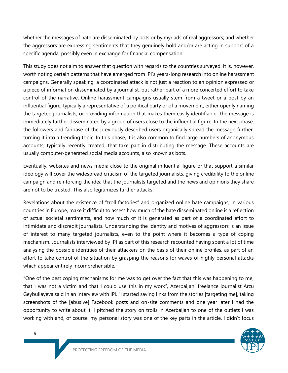whether the messages of hate are disseminated by bots or by myriads of real aggressors; and whether the aggressors are expressing sentiments that they genuinely hold and/or are acting in support of a specific agenda, possibly even in exchange for financial compensation.

This study does not aim to answer that question with regards to the countries surveyed. It is, however, worth noting certain patterns that have emerged from IPI's years-long research into online harassment campaigns. Generally speaking, a coordinated attack is not just a reaction to an opinion expressed or a piece of information disseminated by a journalist, but rather part of a more concerted effort to take control of the narrative. Online harassment campaigns usually stem from a tweet or a post by an influential figure, typically a representative of a political party or of a movement, either openly naming the targeted journalists, or providing information that makes them easily identifiable. The message is immediately further disseminated by a group of users close to the influential figure. In the next phase, the followers and fanbase of the previously described users organically spread the message further, turning it into a trending topic. In this phase, it is also common to find large numbers of anonymous accounts, typically recently created, that take part in distributing the message. These accounts are usually computer-generated social media accounts, also known as bots.

Eventually, websites and news media close to the original influential figure or that support a similar ideology will cover the widespread criticism of the targeted journalists, giving credibility to the online campaign and reinforcing the idea that the journalists targeted and the news and opinions they share are not to be trusted. This also legitimizes further attacks.

Revelations about the existence of "troll factories" and organized online hate campaigns, in various countries in Europe, make it difficult to assess how much of the hate disseminated online is a reflection of actual societal sentiments, and how much of it is generated as part of a coordinated effort to intimidate and discredit journalists. Understanding the identity and motives of aggressors is an issue of interest to many targeted journalists, even to the point where it becomes a type of coping mechanism. Journalists interviewed by IPI as part of this research recounted having spent a lot of time analysing the possible identities of their attackers on the basis of their online profiles, as part of an effort to take control of the situation by grasping the reasons for waves of highly personal attacks which appear entirely incomprehensible.

"One of the best coping mechanisms for me was to get over the fact that this was happening to me, that I was not a victim and that I could use this in my work", Azerbaijani freelance journalist Arzu Geybullayeva said in an interview with IPI. "I started saving links from the stories [targeting me], taking screenshots of the [abusive] Facebook posts and on-site comments and one year later I had the opportunity to write about it. I pitched the story on trolls in Azerbaijan to one of the outlets I was working with and, of course, my personal story was one of the key parts in the article. I didn't focus



9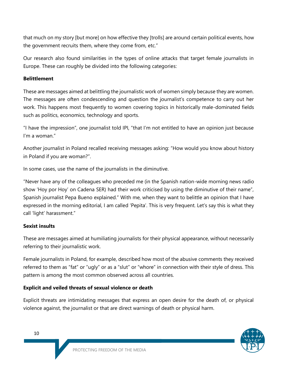that much on my story [but more] on how effective they [trolls] are around certain political events, how the government recruits them, where they come from, etc."

Our research also found similarities in the types of online attacks that target female journalists in Europe. These can roughly be divided into the following categories:

#### **Belittlement**

These are messages aimed at belittling the journalistic work of women simply because they are women. The messages are often condescending and question the journalist's competence to carry out her work. This happens most frequently to women covering topics in historically male-dominated fields such as politics, economics, technology and sports.

"I have the impression", one journalist told IPI, "that I'm not entitled to have an opinion just because I'm a woman."

Another journalist in Poland recalled receiving messages asking: "How would you know about history in Poland if you are woman?".

In some cases, use the name of the journalists in the diminutive.

"Never have any of the colleagues who preceded me (in the Spanish nation-wide morning news radio show 'Hoy por Hoy' on Cadena SER) had their work criticised by using the diminutive of their name", Spanish journalist Pepa Bueno explained." With me, when they want to belittle an opinion that I have expressed in the morning editorial, I am called 'Pepita'. This is very frequent. Let's say this is what they call 'light' harassment."

#### **Sexist insults**

These are messages aimed at humiliating journalists for their physical appearance, without necessarily referring to their journalistic work.

Female journalists in Poland, for example, described how most of the abusive comments they received referred to them as "fat" or "ugly" or as a "slut" or "whore" in connection with their style of dress. This pattern is among the most common observed across all countries.

#### **Explicit and veiled threats of sexual violence or death**

Explicit threats are intimidating messages that express an open desire for the death of, or physical violence against, the journalist or that are direct warnings of death or physical harm.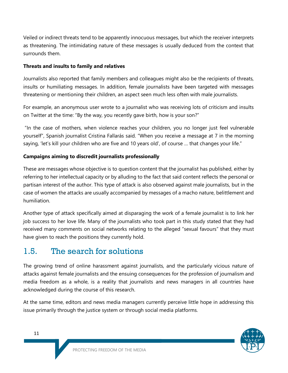Veiled or indirect threats tend to be apparently innocuous messages, but which the receiver interprets as threatening. The intimidating nature of these messages is usually deduced from the context that surrounds them.

#### **Threats and insults to family and relatives**

Journalists also reported that family members and colleagues might also be the recipients of threats, insults or humiliating messages. In addition, female journalists have been targeted with messages threatening or mentioning their children, an aspect seen much less often with male journalists.

For example, an anonymous user wrote to a journalist who was receiving lots of criticism and insults on Twitter at the time: "By the way, you recently gave birth, how is your son?"

"In the case of mothers, when violence reaches your children, you no longer just feel vulnerable yourself", Spanish journalist Cristina Fallarás said. "When you receive a message at 7 in the morning saying, 'let's kill your children who are five and 10 years old', of course ... that changes your life."

#### **Campaigns aiming to discredit journalists professionally**

These are messages whose objective is to question content that the journalist has published, either by referring to her intellectual capacity or by alluding to the fact that said content reflects the personal or partisan interest of the author. This type of attack is also observed against male journalists, but in the case of women the attacks are usually accompanied by messages of a macho nature, belittlement and humiliation.

Another type of attack specifically aimed at disparaging the work of a female journalist is to link her job success to her love life. Many of the journalists who took part in this study stated that they had received many comments on social networks relating to the alleged "sexual favours" that they must have given to reach the positions they currently hold.

# 1.5. The search for solutions

The growing trend of online harassment against journalists, and the particularly vicious nature of attacks against female journalists and the ensuing consequences for the profession of journalism and media freedom as a whole, is a reality that journalists and news managers in all countries have acknowledged during the course of this research.

At the same time, editors and news media managers currently perceive little hope in addressing this issue primarily through the justice system or through social media platforms.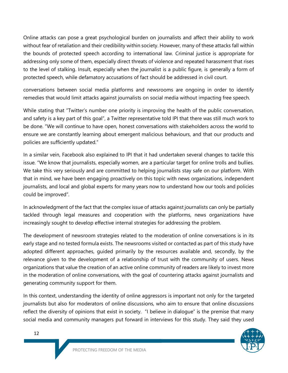Online attacks can pose a great psychological burden on journalists and affect their ability to work without fear of retaliation and their credibility within society. However, many of these attacks fall within the bounds of protected speech according to international law. Criminal justice is appropriate for addressing only some of them, especially direct threats of violence and repeated harassment that rises to the level of stalking. Insult, especially when the journalist is a public figure, is generally a form of protected speech, while defamatory accusations of fact should be addressed in civil court.

conversations between social media platforms and newsrooms are ongoing in order to identify remedies that would limit attacks against journalists on social media without impacting free speech.

While stating that "Twitter's number one priority is improving the health of the public conversation, and safety is a key part of this goal", a Twitter representative told IPI that there was still much work to be done. "We will continue to have open, honest conversations with stakeholders across the world to ensure we are constantly learning about emergent malicious behaviours, and that our products and policies are sufficiently updated."

In a similar vein, Facebook also explained to IPI that it had undertaken several changes to tackle this issue. "We know that journalists, especially women, are a particular target for online trolls and bullies. We take this very seriously and are committed to helping journalists stay safe on our platform. With that in mind, we have been engaging proactively on this topic with news organizations, independent journalists, and local and global experts for many years now to understand how our tools and policies could be improved".

In acknowledgment of the fact that the complex issue of attacks against journalists can only be partially tackled through legal measures and cooperation with the platforms, news organizations have increasingly sought to develop effective internal strategies for addressing the problem.

The development of newsroom strategies related to the moderation of online conversations is in its early stage and no tested formula exists. The newsrooms visited or contacted as part of this study have adopted different approaches, guided primarily by the resources available and, secondly, by the relevance given to the development of a relationship of trust with the community of users. News organizations that value the creation of an active online community of readers are likely to invest more in the moderation of online conversations, with the goal of countering attacks against journalists and generating community support for them.

In this context, understanding the identity of online aggressors is important not only for the targeted journalists but also for moderators of online discussions, who aim to ensure that online discussions reflect the diversity of opinions that exist in society. "I believe in dialogue" is the premise that many social media and community managers put forward in interviews for this study. They said they used

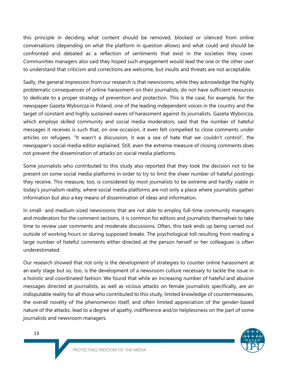this principle in deciding what content should be removed, blocked or silenced from online conversations (depending on what the platform in question allows) and what could and should be confronted and debated as a reflection of sentiments that exist in the societies they cover. Communities managers also said they hoped such engagement would lead the one or the other user to understand that criticism and corrections are welcome, but insults and threats are not acceptable.

Sadly, the general impression from our research is that newsrooms, while they acknowledge the highly problematic consequences of online harassment on their journalists, do not have sufficient resources to dedicate to a proper strategy of prevention and protection. This is the case, for example, for the newspaper Gazeta Wyborcza in Poland, one of the leading independent voices in the country and the target of constant and highly sustained waves of harassment against its journalists. Gazeta Wyborcza, which employs skilled community and social media moderators, said that the number of hateful messages it receives is such that, on one occasion, it even felt compelled to close comments under articles on refugees. "It wasn't a discussion, it was a sea of hate that we couldn't control", the newspaper's social media editor explained. Still, even the extreme measure of closing comments does not prevent the dissemination of attacks on social media platforms.

Some journalists who contributed to this study also reported that they took the decision not to be present on some social media platforms in order to try to limit the sheer number of hateful postings they receive. This measure, too, is considered by most journalists to be extreme and hardly viable in today's journalism reality, where social media platforms are not only a place where journalists gather information but also a key means of dissemination of ideas and information.

In small- and medium-sized newsrooms that are not able to employ full-time community managers and moderators for the comment sections, it is common for editors and journalists themselves to take time to review user comments and moderate discussions. Often, this task ends up being carried out outside of working hours or during supposed breaks. The psychological toll resulting from reading a large number of hateful comments either directed at the person herself or her colleagues is often underestimated.

Our research showed that not only is the development of strategies to counter online harassment at an early stage but so, too, is the development of a newsroom culture necessary to tackle the issue in a holistic and coordinated fashion. We found that while an increasing number of hateful and abusive messages directed at journalists, as well as vicious attacks on female journalists specifically, are an indisputable reality for all those who contributed to this study, limited knowledge of countermeasures, the overall novelty of the phenomenon itself, and often limited appreciation of the gender-based nature of the attacks, lead to a degree of apathy, indifference and/or helplessness on the part of some journalists and newsroom managers.

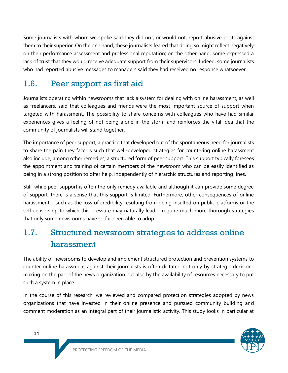Some journalists with whom we spoke said they did not, or would not, report abusive posts against them to their superior. On the one hand, these journalists feared that doing so might reflect negatively on their performance assessment and professional reputation; on the other hand, some expressed a lack of trust that they would receive adequate support from their supervisors. Indeed, some journalists who had reported abusive messages to managers said they had received no response whatsoever.

# 1.6. Peer support as first aid

Journalists operating within newsrooms that lack a system for dealing with online harassment, as well as freelancers, said that colleagues and friends were the most important source of support when targeted with harassment. The possibility to share concerns with colleagues who have had similar experiences gives a feeling of not being alone in the storm and reinforces the vital idea that the community of journalists will stand together.

The importance of peer support, a practice that developed out of the spontaneous need for journalists to share the pain they face, is such that well-developed strategies for countering online harassment also include, among other remedies, a structured form of peer support. This support typically foresees the appointment and training of certain members of the newsroom who can be easily identified as being in a strong position to offer help, independently of hierarchic structures and reporting lines.

Still, while peer support is often the only remedy available and although it can provide some degree of support, there is a sense that this support is limited. Furthermore, other consequences of online harassment – such as the loss of credibility resulting from being insulted on public platforms or the self-censorship to which this pressure may naturally lead – require much more thorough strategies that only some newsrooms have so far been able to adopt.

# 1.7. Structured newsroom strategies to address online harassment

The ability of newsrooms to develop and implement structured protection and prevention systems to counter online harassment against their journalists is often dictated not only by strategic decisionmaking on the part of the news organization but also by the availability of resources necessary to put such a system in place.

In the course of this research, we reviewed and compared protection strategies adopted by news organizations that have invested in their online presence and pursued community building and comment moderation as an integral part of their journalistic activity. This study looks in particular at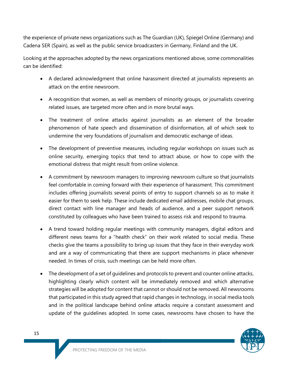the experience of private news organizations such as The Guardian (UK), Spiegel Online (Germany) and Cadena SER (Spain), as well as the public service broadcasters in Germany, Finland and the UK.

Looking at the approaches adopted by the news organizations mentioned above, some commonalities can be identified:

- A declared acknowledgment that online harassment directed at journalists represents an attack on the entire newsroom.
- A recognition that women, as well as members of minority groups, or journalists covering related issues, are targeted more often and in more brutal ways.
- The treatment of online attacks against journalists as an element of the broader phenomenon of hate speech and dissemination of disinformation, all of which seek to undermine the very foundations of journalism and democratic exchange of ideas.
- The development of preventive measures, including regular workshops on issues such as online security, emerging topics that tend to attract abuse, or how to cope with the emotional distress that might result from online violence.
- A commitment by newsroom managers to improving newsroom culture so that journalists feel comfortable in coming forward with their experience of harassment. This commitment includes offering journalists several points of entry to support channels so as to make it easier for them to seek help. These include dedicated email addresses, mobile chat groups, direct contact with line manager and heads of audience, and a peer support network constituted by colleagues who have been trained to assess risk and respond to trauma.
- A trend toward holding regular meetings with community managers, digital editors and different news teams for a "health check" on their work related to social media. These checks give the teams a possibility to bring up issues that they face in their everyday work and are a way of communicating that there are support mechanisms in place whenever needed. In times of crisis, such meetings can be held more often.
- The development of a set of guidelines and protocols to prevent and counter online attacks, highlighting clearly which content will be immediately removed and which alternative strategies will be adopted for content that cannot or should not be removed. All newsrooms that participated in this study agreed that rapid changes in technology, in social media tools and in the political landscape behind online attacks require a constant assessment and update of the guidelines adopted. In some cases, newsrooms have chosen to have the

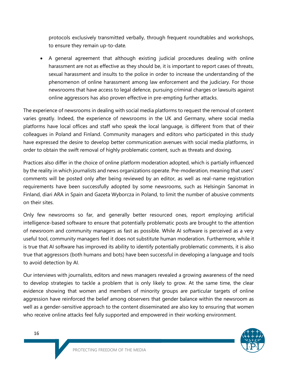protocols exclusively transmitted verbally, through frequent roundtables and workshops, to ensure they remain up-to-date.

• A general agreement that although existing judicial procedures dealing with online harassment are not as effective as they should be, it is important to report cases of threats, sexual harassment and insults to the police in order to increase the understanding of the phenomenon of online harassment among law enforcement and the judiciary. For those newsrooms that have access to legal defence, pursuing criminal charges or lawsuits against online aggressors has also proven effective in pre-empting further attacks.

The experience of newsrooms in dealing with social media platforms to request the removal of content varies greatly. Indeed, the experience of newsrooms in the UK and Germany, where social media platforms have local offices and staff who speak the local language, is different from that of their colleagues in Poland and Finland. Community managers and editors who participated in this study have expressed the desire to develop better communication avenues with social media platforms, in order to obtain the swift removal of highly problematic content, such as threats and doxing.

Practices also differ in the choice of online platform moderation adopted, which is partially influenced by the reality in which journalists and news organizations operate. Pre-moderation, meaning that users' comments will be posted only after being reviewed by an editor, as well as real-name registration requirements have been successfully adopted by some newsrooms, such as Helsingin Sanomat in Finland, diari ARA in Spain and Gazeta Wyborcza in Poland, to limit the number of abusive comments on their sites.

Only few newsrooms so far, and generally better resourced ones, report employing artificial intelligence-based software to ensure that potentially problematic posts are brought to the attention of newsroom and community managers as fast as possible. While AI software is perceived as a very useful tool, community managers feel it does not substitute human moderation. Furthermore, while it is true that AI software has improved its ability to identify potentially problematic comments, it is also true that aggressors (both humans and bots) have been successful in developing a language and tools to avoid detection by AI.

Our interviews with journalists, editors and news managers revealed a growing awareness of the need to develop strategies to tackle a problem that is only likely to grow. At the same time, the clear evidence showing that women and members of minority groups are particular targets of online aggression have reinforced the belief among observers that gender balance within the newsroom as well as a gender-sensitive approach to the content disseminated are also key to ensuring that women who receive online attacks feel fully supported and empowered in their working environment.

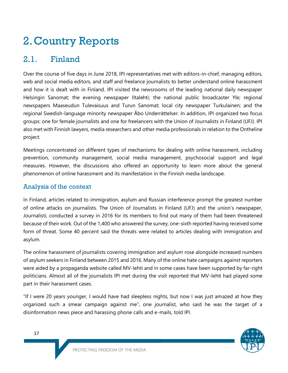# 2.Country Reports

# 2.1. Finland

Over the course of five days in June 2018, IPI representatives met with editors-in-chief, managing editors, web and social media editors, and staff and freelance journalists to better understand online harassment and how it is dealt with in Finland. IPI visited the newsrooms of the leading national daily newspaper Helsingin Sanomat; the evening newspaper Iltalehti; the national public broadcaster Yle; regional newspapers Maaseudun Tulevaisuus and Turun Sanomat; local city newspaper Turkulainen; and the regional Swedish-language minority newspaper Åbo Underrättelser. In addition, IPI organized two focus groups: one for female journalists and one for freelancers with the Union of Journalists in Finland (UFJ). IPI also met with Finnish lawyers, media researchers and other media professionals in relation to the Ontheline project.

Meetings concentrated on different types of mechanisms for dealing with online harassment, including prevention, community management, social media management, psychosocial support and legal measures. However, the discussions also offered an opportunity to learn more about the general phenomenon of online harassment and its manifestation in the Finnish media landscape.

### Analysis of the context

In Finland, articles related to immigration, asylum and Russian interference prompt the greatest number of online attacks on journalists. The Union of Journalists in Finland (UFJ) and the union's newspaper, Journalisti, conducted a survey in 2016 for its members to find out many of them had been threatened because of their work. Out of the 1,400 who answered the survey, one-sixth reported having received some form of threat. Some 40 percent said the threats were related to articles dealing with immigration and asylum.

The online harassment of journalists covering immigration and asylum rose alongside increased numbers of asylum seekers in Finland between 2015 and 2016. Many of the online hate campaigns against reporters were aided by a propaganda website called MV-lehti and in some cases have been supported by far-right politicians. Almost all of the journalists IPI met during the visit reported that MV-lehti had played some part in their harassment cases.

"If I were 20 years younger, I would have had sleepless nights, but now I was just amazed at how they organized such a smear campaign against me", one journalist, who said he was the target of a disinformation news piece and harassing phone calls and e-mails, told IPI.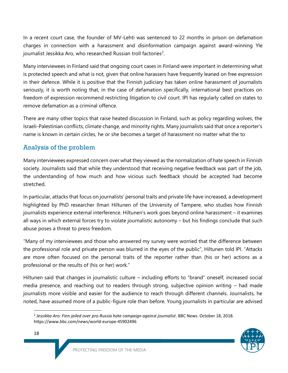In a recent court case, the founder of MV-Lehti was sentenced to 22 months in prison on defamation charges in connection with a harassment and disinformation campaign against award-winning Yle journalist Jessikka Aro, who researched Russian troll factories<sup>2</sup>.

Many interviewees in Finland said that ongoing court cases in Finland were important in determining what is protected speech and what is not, given that online harassers have frequently leaned on free expression in their defence. While it is positive that the Finnish judiciary has taken online harassment of journalists seriously, it is worth noting that, in the case of defamation specifically, international best practices on freedom of expression recommend restricting litigation to civil court. IPI has regularly called on states to remove defamation as a criminal offence.

There are many other topics that raise heated discussion in Finland, such as policy regarding wolves, the Israeli-Palestinian conflicts, climate change, and minority rights. Many journalists said that once a reporter's name is known in certain circles, he or she becomes a target of harassment no matter what the to

## Analysis of the problem

Many interviewees expressed concern over what they viewed as the normalization of hate speech in Finnish society. Journalists said that while they understood that receiving negative feedback was part of the job, the understanding of how much and how vicious such feedback should be accepted had become stretched.

In particular, attacks that focus on journalists' personal traits and private life have increased, a development highlighted by PhD researcher Ilmari Hiltunen of the University of Tampere, who studies how Finnish journalists experience external interference. Hiltunen's work goes beyond online harassment – it examines all ways in which external forces try to violate journalistic autonomy – but his findings conclude that such abuse poses a threat to press freedom.

"Many of my interviewees and those who answered my survey were worried that the difference between the professional role and private person was blurred in the eyes of the public", Hiltunen told IPI. "Attacks are more often focused on the personal traits of the reporter rather than (his or her) actions as a professional or the results of (his or her) work."

Hiltunen said that changes in journalistic culture – including efforts to "brand" oneself, increased social media presence, and reaching out to readers through strong, subjective opinion writing – had made journalists more visible and easier for the audience to reach through different channels. Journalists, he noted, have assumed more of a public-figure role than before. Young journalists in particular are advised

<sup>2</sup> *Jessikka Aro: Finn jailed over pro-Russia hate campaign against journalist*. BBC News. October 18, 2018. https://www.bbc.com/news/world-europe-45902496



 $\overline{a}$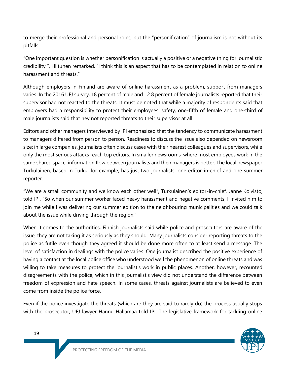to merge their professional and personal roles, but the "personification" of journalism is not without its pitfalls.

"One important question is whether personification is actually a positive or a negative thing for journalistic credibility ", Hiltunen remarked. "I think this is an aspect that has to be contemplated in relation to online harassment and threats."

Although employers in Finland are aware of online harassment as a problem, support from managers varies. In the 2016 UFJ survey, 18 percent of male and 12.8 percent of female journalists reported that their supervisor had not reacted to the threats. It must be noted that while a majority of respondents said that employers had a responsibility to protect their employees' safety, one-fifth of female and one-third of male journalists said that hey not reported threats to their supervisor at all.

Editors and other managers interviewed by IPI emphasized that the tendency to communicate harassment to managers differed from person to person. Readiness to discuss the issue also depended on newsroom size: in large companies, journalists often discuss cases with their nearest colleagues and supervisors, while only the most serious attacks reach top editors. In smaller newsrooms, where most employees work in the same shared space, information flow between journalists and their managers is better. The local newspaper Turkulainen, based in Turku, for example, has just two journalists, one editor-in-chief and one summer reporter.

"We are a small community and we know each other well", Turkulainen's editor-in-chief, Janne Koivisto, told IPI. "So when our summer worker faced heavy harassment and negative comments, I invited him to join me while I was delivering our summer edition to the neighbouring municipalities and we could talk about the issue while driving through the region."

When it comes to the authorities, Finnish journalists said while police and prosecutors are aware of the issue, they are not taking it as seriously as they should. Many journalists consider reporting threats to the police as futile even though they agreed it should be done more often to at least send a message. The level of satisfaction in dealings with the police varies. One journalist described the positive experience of having a contact at the local police office who understood well the phenomenon of online threats and was willing to take measures to protect the journalist's work in public places. Another, however, recounted disagreements with the police, which in this journalist's view did not understand the difference between freedom of expression and hate speech. In some cases, threats against journalists are believed to even come from inside the police force.

Even if the police investigate the threats (which are they are said to rarely do) the process usually stops with the prosecutor, UFJ lawyer Hannu Hallamaa told IPI. The legislative framework for tackling online

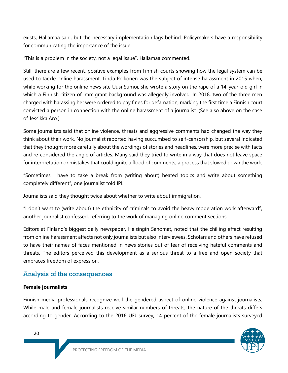exists, Hallamaa said, but the necessary implementation lags behind. Policymakers have a responsibility for communicating the importance of the issue.

"This is a problem in the society, not a legal issue", Hallamaa commented.

Still, there are a few recent, positive examples from Finnish courts showing how the legal system can be used to tackle online harassment. Linda Pelkonen was the subject of intense harassment in 2015 when, while working for the online news site Uusi Sumoi, she wrote a story on the rape of a 14-year-old girl in which a Finnish citizen of immigrant background was allegedly involved. In 2018, two of the three men charged with harassing her were ordered to pay fines for defamation, marking the first time a Finnish court convicted a person in connection with the online harassment of a journalist. (See also above on the case of Jessikka Aro.)

Some journalists said that online violence, threats and aggressive comments had changed the way they think about their work. No journalist reported having succumbed to self-censorship, but several indicated that they thought more carefully about the wordings of stories and headlines, were more precise with facts and re-considered the angle of articles. Many said they tried to write in a way that does not leave space for interpretation or mistakes that could ignite a flood of comments, a process that slowed down the work.

"Sometimes I have to take a break from (writing about) heated topics and write about something completely different", one journalist told IPI.

Journalists said they thought twice about whether to write about immigration.

"I don't want to (write about) the ethnicity of criminals to avoid the heavy moderation work afterward", another journalist confessed, referring to the work of managing online comment sections.

Editors at Finland's biggest daily newspaper, Helsingin Sanomat, noted that the chilling effect resulting from online harassment affects not only journalists but also interviewees. Scholars and others have refused to have their names of faces mentioned in news stories out of fear of receiving hateful comments and threats. The editors perceived this development as a serious threat to a free and open society that embraces freedom of expression.

# Analysis of the consequences

#### **Female journalists**

Finnish media professionals recognize well the gendered aspect of online violence against journalists. While male and female journalists receive similar numbers of threats, the nature of the threats differs according to gender. According to the 2016 UFJ survey, 14 percent of the female journalists surveyed

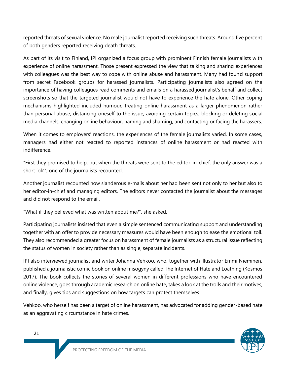reported threats of sexual violence. No male journalist reported receiving such threats. Around five percent of both genders reported receiving death threats.

As part of its visit to Finland, IPI organized a focus group with prominent Finnish female journalists with experience of online harassment. Those present expressed the view that talking and sharing experiences with colleagues was the best way to cope with online abuse and harassment. Many had found support from secret Facebook groups for harassed journalists. Participating journalists also agreed on the importance of having colleagues read comments and emails on a harassed journalist's behalf and collect screenshots so that the targeted journalist would not have to experience the hate alone. Other coping mechanisms highlighted included humour, treating online harassment as a larger phenomenon rather than personal abuse, distancing oneself to the issue, avoiding certain topics, blocking or deleting social media channels, changing online behaviour, naming and shaming, and contacting or facing the harassers.

When it comes to employers' reactions, the experiences of the female journalists varied. In some cases, managers had either not reacted to reported instances of online harassment or had reacted with indifference.

"First they promised to help, but when the threats were sent to the editor-in-chief, the only answer was a short 'ok'", one of the journalists recounted.

Another journalist recounted how slanderous e-mails about her had been sent not only to her but also to her editor-in-chief and managing editors. The editors never contacted the journalist about the messages and did not respond to the email.

"What if they believed what was written about me?", she asked.

Participating journalists insisted that even a simple sentenced communicating support and understanding together with an offer to provide necessary measures would have been enough to ease the emotional toll. They also recommended a greater focus on harassment of female journalists as a structural issue reflecting the status of women in society rather than as single, separate incidents.

IPI also interviewed journalist and writer Johanna Vehkoo, who, together with illustrator Emmi Nieminen, published a journalistic comic book on online misogyny called The Internet of Hate and Loathing (Kosmos 2017). The book collects the stories of several women in different professions who have encountered online violence, goes through academic research on online hate, takes a look at the trolls and their motives, and finally, gives tips and suggestions on how targets can protect themselves.

Vehkoo, who herself has been a target of online harassment, has advocated for adding gender-based hate as an aggravating circumstance in hate crimes.

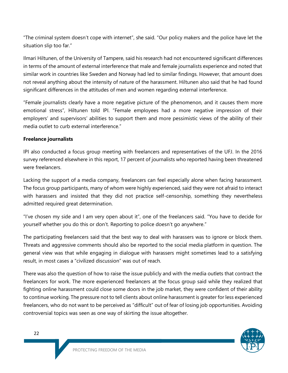"The criminal system doesn't cope with internet", she said. "Our policy makers and the police have let the situation slip too far."

Ilmari Hiltunen, of the University of Tampere, said his research had not encountered significant differences in terms of the amount of external interference that male and female journalists experience and noted that similar work in countries like Sweden and Norway had led to similar findings. However, that amount does not reveal anything about the intensity of nature of the harassment. Hiltunen also said that he had found significant differences in the attitudes of men and women regarding external interference.

"Female journalists clearly have a more negative picture of the phenomenon, and it causes them more emotional stress", Hiltunen told IPI. "Female employees had a more negative impression of their employers' and supervisors' abilities to support them and more pessimistic views of the ability of their media outlet to curb external interference."

#### **Freelance journalists**

IPI also conducted a focus group meeting with freelancers and representatives of the UFJ. In the 2016 survey referenced elsewhere in this report, 17 percent of journalists who reported having been threatened were freelancers.

Lacking the support of a media company, freelancers can feel especially alone when facing harassment. The focus group participants, many of whom were highly experienced, said they were not afraid to interact with harassers and insisted that they did not practice self-censorship, something they nevertheless admitted required great determination.

"I've chosen my side and I am very open about it", one of the freelancers said. "You have to decide for yourself whether you do this or don't. Reporting to police doesn't go anywhere."

The participating freelancers said that the best way to deal with harassers was to ignore or block them. Threats and aggressive comments should also be reported to the social media platform in question. The general view was that while engaging in dialogue with harassers might sometimes lead to a satisfying result, in most cases a "civilized discussion" was out of reach.

There was also the question of how to raise the issue publicly and with the media outlets that contract the freelancers for work. The more experienced freelancers at the focus group said while they realized that fighting online harassment could close some doors in the job market, they were confident of their ability to continue working. The pressure not to tell clients about online harassment is greater for less experienced freelancers, who do not want to be perceived as "difficult" out of fear of losing job opportunities. Avoiding controversial topics was seen as one way of skirting the issue altogether.

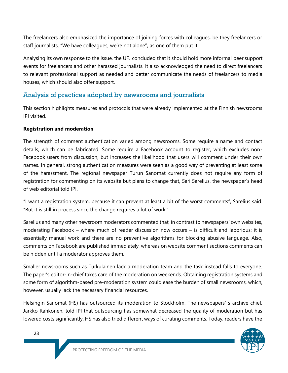The freelancers also emphasized the importance of joining forces with colleagues, be they freelancers or staff journalists. "We have colleagues; we're not alone", as one of them put it.

Analysing its own response to the issue, the UFJ concluded that it should hold more informal peer support events for freelancers and other harassed journalists. It also acknowledged the need to direct freelancers to relevant professional support as needed and better communicate the needs of freelancers to media houses, which should also offer support.

### Analysis of practices adopted by newsrooms and journalists

This section highlights measures and protocols that were already implemented at the Finnish newsrooms IPI visited.

#### **Registration and moderation**

The strength of comment authentication varied among newsrooms. Some require a name and contact details, which can be fabricated. Some require a Facebook account to register, which excludes non-Facebook users from discussion, but increases the likelihood that users will comment under their own names. In general, strong authentication measures were seen as a good way of preventing at least some of the harassment. The regional newspaper Turun Sanomat currently does not require any form of registration for commenting on its website but plans to change that, Sari Sarelius, the newspaper's head of web editorial told IPI.

"I want a registration system, because it can prevent at least a bit of the worst comments", Sarelius said. "But it is still in process since the change requires a lot of work."

Sarelius and many other newsroom moderators commented that, in contrast to newspapers' own websites, moderating Facebook – where much of reader discussion now occurs – is difficult and laborious: it is essentially manual work and there are no preventive algorithms for blocking abusive language. Also, comments on Facebook are published immediately, whereas on website comment sections comments can be hidden until a moderator approves them.

Smaller newsrooms such as Turkulainen lack a moderation team and the task instead falls to everyone. The paper's editor-in-chief takes care of the moderation on weekends. Obtaining registration systems and some form of algorithm-based pre-moderation system could ease the burden of small newsrooms, which, however, usually lack the necessary financial resources.

Helsingin Sanomat (HS) has outsourced its moderation to Stockholm. The newspapers' s archive chief, Jarkko Rahkonen, told IPI that outsourcing has somewhat decreased the quality of moderation but has lowered costs significantly. HS has also tried different ways of curating comments. Today, readers have the

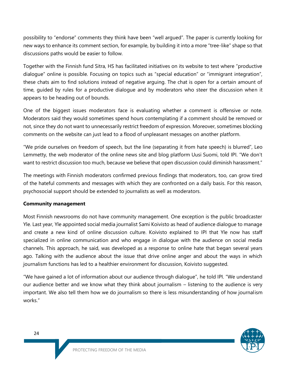possibility to "endorse" comments they think have been "well argued". The paper is currently looking for new ways to enhance its comment section, for example, by building it into a more "tree-like" shape so that discussions paths would be easier to follow.

Together with the Finnish fund Sitra, HS has facilitated initiatives on its website to test where "productive dialogue" online is possible. Focusing on topics such as "special education" or "immigrant integration", these chats aim to find solutions instead of negative arguing. The chat is open for a certain amount of time, guided by rules for a productive dialogue and by moderators who steer the discussion when it appears to be heading out of bounds.

One of the biggest issues moderators face is evaluating whether a comment is offensive or note. Moderators said they would sometimes spend hours contemplating if a comment should be removed or not, since they do not want to unnecessarily restrict freedom of expression. Moreover, sometimes blocking comments on the website can just lead to a flood of unpleasant messages on another platform.

"We pride ourselves on freedom of speech, but the line (separating it from hate speech) is blurred", Leo Lemmetty, the web moderator of the online news site and blog platform Uusi Suomi, told IPI. "We don't want to restrict discussion too much, because we believe that open discussion could diminish harassment."

The meetings with Finnish moderators confirmed previous findings that moderators, too, can grow tired of the hateful comments and messages with which they are confronted on a daily basis. For this reason, psychosocial support should be extended to journalists as well as moderators.

#### **Community management**

Most Finnish newsrooms do not have community management. One exception is the public broadcaster Yle. Last year, Yle appointed social media journalist Sami Koivisto as head of audience dialogue to manage and create a new kind of online discussion culture. Koivisto explained to IPI that Yle now has staff specialized in online communication and who engage in dialogue with the audience on social media channels. This approach, he said, was developed as a response to online hate that began several years ago. Talking with the audience about the issue that drive online anger and about the ways in which journalism functions has led to a healthier environment for discussion, Koivisto suggested.

"We have gained a lot of information about our audience through dialogue", he told IPI. "We understand our audience better and we know what they think about journalism – listening to the audience is very important. We also tell them how we do journalism so there is less misunderstanding of how journalism works."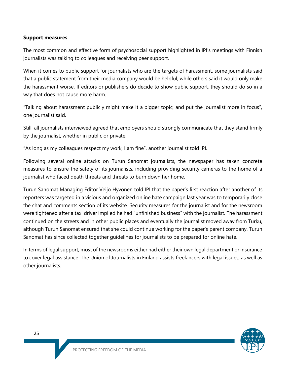#### **Support measures**

The most common and effective form of psychosocial support highlighted in IPI's meetings with Finnish journalists was talking to colleagues and receiving peer support.

When it comes to public support for journalists who are the targets of harassment, some journalists said that a public statement from their media company would be helpful, while others said it would only make the harassment worse. If editors or publishers do decide to show public support, they should do so in a way that does not cause more harm.

"Talking about harassment publicly might make it a bigger topic, and put the journalist more in focus", one journalist said.

Still, all journalists interviewed agreed that employers should strongly communicate that they stand firmly by the journalist, whether in public or private.

"As long as my colleagues respect my work, I am fine", another journalist told IPI.

Following several online attacks on Turun Sanomat journalists, the newspaper has taken concrete measures to ensure the safety of its journalists, including providing security cameras to the home of a journalist who faced death threats and threats to burn down her home.

Turun Sanomat Managing Editor Veijo Hyvönen told IPI that the paper's first reaction after another of its reporters was targeted in a vicious and organized online hate campaign last year was to temporarily close the chat and comments section of its website. Security measures for the journalist and for the newsroom were tightened after a taxi driver implied he had "unfinished business" with the journalist. The harassment continued on the streets and in other public places and eventually the journalist moved away from Turku, although Turun Sanomat ensured that she could continue working for the paper's parent company. Turun Sanomat has since collected together guidelines for journalists to be prepared for online hate.

In terms of legal support, most of the newsrooms either had either their own legal department or insurance to cover legal assistance. The Union of Journalists in Finland assists freelancers with legal issues, as well as other journalists.

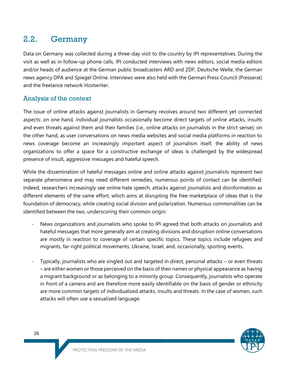# 2.2. Germany

Data on Germany was collected during a three-day visit to the country by IPI representatives. During the visit as well as in follow-up phone calls, IPI conducted interviews with news editors, social media editors and/or heads of audience at the German public broadcasters ARD and ZDF; Deutsche Welle; the German news agency DPA and Spiegel Online. Interviews were also held with the German Press Council (Presserat) and the freelance network Hostwriter.

## Analysis of the context

The issue of online attacks against journalists in Germany revolves around two different yet connected aspects: on one hand, individual journalists occasionally become direct targets of online attacks, insults and even threats against them and their families (i.e., online attacks on journalists in the strict sense); on the other hand, as user conversations on news media websites and social media platforms in reaction to news coverage become an increasingly important aspect of journalism itself, the ability of news organizations to offer a space for a constructive exchange of ideas is challenged by the widespread presence of insult, aggressive messages and hateful speech.

While the dissemination of hateful messages online and online attacks against journalists represent two separate phenomena and may need different remedies, numerous points of contact can be identified. Indeed, researchers increasingly see online hate speech, attacks against journalists and disinformation as different elements of the same effort, which aims at disrupting the free marketplace of ideas that is the foundation of democracy, while creating social division and polarization. Numerous commonalities can be identified between the two, underscoring their common origin:

- News organizations and journalists who spoke to IPI agreed that both attacks on journalists and hateful messages that more generally aim at creating divisions and disruption online conversations are mostly in reaction to coverage of certain specific topics. These topics include refugees and migrants, far-right political movements, Ukraine, Israel, and, occasionally, sporting events.
- Typically, journalists who are singled out and targeted in direct, personal attacks or even threats – are either women or those perceived on the basis of their names or physical appearance as having a migrant background or as belonging to a minority group. Consequently, journalists who operate in front of a camera and are therefore more easily identifiable on the basis of gender or ethnicity are more common targets of individualized attacks, insults and threats. In the case of women, such attacks will often use a sexualized language.

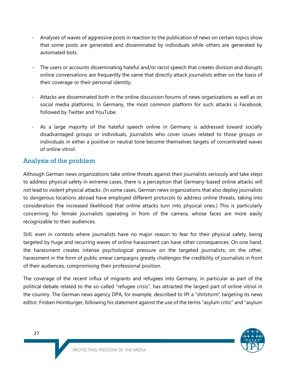- Analyses of waves of aggressive posts in reaction to the publication of news on certain topics show that some posts are generated and disseminated by individuals while others are generated by automated bots.
- The users or accounts disseminating hateful and/or racist speech that creates division and disrupts online conversations are frequently the same that directly attack journalists either on the basis of their coverage or their personal identity.
- Attacks are disseminated both in the online discussion forums of news organizations as well as on social media platforms. In Germany, the most common platform for such attacks is Facebook, followed by Twitter and YouTube.
- As a large majority of the hateful speech online in Germany is addressed toward socially disadvantaged groups or individuals, journalists who cover issues related to those groups or individuals in either a positive or neutral tone become themselves targets of concentrated waves of online vitriol.

### Analysis of the problem

Although German news organizations take online threats against their journalists seriously and take steps to address physical safety in extreme cases, there is a perception that Germany-based online attacks will not lead to violent physical attacks. (In some cases, German news organizations that also deploy journalists to dangerous locations abroad have employed different protocols to address online threats, taking into consideration the increased likelihood that online attacks turn into physical ones.) This is particularly concerning for female journalists operating in from of the camera, whose faces are more easily recognizable to their audiences.

Still, even in contexts where journalists have no major reason to fear for their physical safety, being targeted by huge and recurring waves of online harassment can have other consequences: On one hand, the harassment creates intense psychological pressure on the targeted journalists; on the other, harassment in the form of public smear campaigns greatly challenges the credibility of journalists in front of their audiences, compromising their professional position.

The coverage of the recent influx of migrants and refugees into Germany, in particular as part of the political debate related to the so-called "refugee crisis", has attracted the largest part of online vitriol in the country. The German news agency DPA, for example, described to IPI a "shitstorm" targeting its news editor, Froben Homburger, following his statement against the use of the terms "asylum critic" and "asylum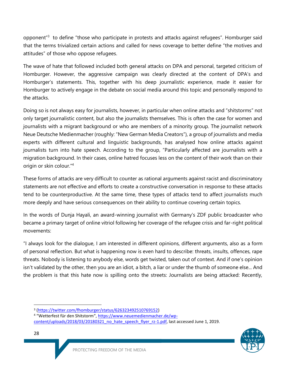opponent<sup>"3</sup> to define "those who participate in protests and attacks against refugees". Homburger said that the terms trivialized certain actions and called for news coverage to better define "the motives and attitudes" of those who oppose refugees.

The wave of hate that followed included both general attacks on DPA and personal, targeted criticism of Homburger. However, the aggressive campaign was clearly directed at the content of DPA's and Homburger's statements. This, together with his deep journalistic experience, made it easier for Homburger to actively engage in the debate on social media around this topic and personally respond to the attacks.

Doing so is not always easy for journalists, however, in particular when online attacks and "shitstorms" not only target journalistic content, but also the journalists themselves. This is often the case for women and journalists with a migrant background or who are members of a minority group. The journalist network Neue Deutsche Medienmacher (roughly: "New German Media Creators"), a group of journalists and media experts with different cultural and linguistic backgrounds, has analysed how online attacks against journalists turn into hate speech. According to the group, "Particularly affected are journalists with a migration background. In their cases, online hatred focuses less on the content of their work than on their origin or skin colour."<sup>4</sup>

These forms of attacks are very difficult to counter as rational arguments against racist and discriminatory statements are not effective and efforts to create a constructive conversation in response to these attacks tend to be counterproductive. At the same time, these types of attacks tend to affect journalists much more deeply and have serious consequences on their ability to continue covering certain topics.

In the words of Dunja Hayali, an award-winning journalist with Germany's ZDF public broadcaster who became a primary target of online vitriol following her coverage of the refugee crisis and far-right political movements:

"I always look for the dialogue, I am interested in different opinions, different arguments, also as a form of personal reflection. But what is happening now is even hard to describe: threats, insults, offences, rape threats. Nobody is listening to anybody else, words get twisted, taken out of context. And if one's opinion isn't validated by the other, then you are an idiot, a bitch, a liar or under the thumb of someone else... And the problem is that this hate now is spilling onto the streets: Journalists are being attacked: Recently,

[content/uploads/2018/03/20180321\\_no\\_hate\\_speech\\_flyer\\_rz-1.pdf,](https://www.neuemedienmacher.de/wp-content/uploads/2018/03/20180321_no_hate_speech_flyer_rz-1.pdf) last accessed June 1, 2019.



 $\overline{\phantom{0}}$ 

<sup>3</sup> [\(https://twitter.com/fhomburger/status/626323492510769152\)](https://twitter.com/fhomburger/status/626323492510769152)

<sup>4</sup> "Wetterfest für den Shitstorm", [https://www.neuemedienmacher.de/wp-](https://www.neuemedienmacher.de/wp-content/uploads/2018/03/20180321_no_hate_speech_flyer_rz-1.pdf)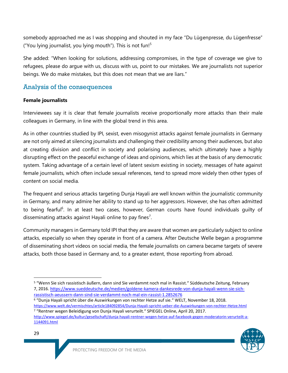somebody approached me as I was shopping and shouted in my face "Du Lügenpresse, du Lügenfresse" ("You lying journalist, you lying mouth"). This is not fun! $5$ 

She added: "When looking for solutions, addressing compromises, in the type of coverage we give to refugees, please do argue with us, discuss with us, point to our mistakes. We are journalists not superior beings. We do make mistakes, but this does not mean that we are liars."

### Analysis of the consequences

#### **Female journalists**

Interviewees say it is clear that female journalists receive proportionally more attacks than their male colleagues in Germany, in line with the global trend in this area.

As in other countries studied by IPI, sexist, even misogynist attacks against female journalists in Germany are not only aimed at silencing journalists and challenging their credibility among their audiences, but also at creating division and conflict in society and polarising audiences, which ultimately have a highly disrupting effect on the peaceful exchange of ideas and opinions, which lies at the basis of any democratic system. Taking advantage of a certain level of latent sexism existing in society, messages of hate against female journalists, which often include sexual references, tend to spread more widely then other types of content on social media.

The frequent and serious attacks targeting Dunja Hayali are well known within the journalistic community in Germany, and many admire her ability to stand up to her aggressors. However, she has often admitted to being fearful<sup>6</sup>. In at least two cases, however, German courts have found individuals quilty of disseminating attacks against Hayali online to pay fines<sup>7</sup>.

Community managers in Germany told IPI that they are aware that women are particularly subject to online attacks, especially so when they operate in front of a camera. After Deutsche Welle began a programme of disseminating short videos on social media, the female journalists on camera became targets of severe attacks, both those based in Germany and, to a greater extent, those reporting from abroad.

<sup>6</sup> "Dunja Hayali spricht über die Auswirkungen von rechter Hetze auf sie." WELT, November 18, 2018. <https://www.welt.de/vermischtes/article184092854/Dunja-Hayali-spricht-ueber-die-Auswirkungen-von-rechter-Hetze.html> <sup>7</sup> "Rentner wegen Beleidigung von Dunja Hayali verurteilt." SPIEGEL Online, April 20, 2017. [http://www.spiegel.de/kultur/gesellschaft/dunja-hayali-rentner-wegen-hetze-auf-facebook-gegen-moderatorin-verurteilt-a-](http://www.spiegel.de/kultur/gesellschaft/dunja-hayali-rentner-wegen-hetze-auf-facebook-gegen-moderatorin-verurteilt-a-1144091.html)

[<sup>1144091.</sup>html](http://www.spiegel.de/kultur/gesellschaft/dunja-hayali-rentner-wegen-hetze-auf-facebook-gegen-moderatorin-verurteilt-a-1144091.html)



 $\overline{a}$ 

<sup>5</sup> "Wenn Sie sich rassistisch äußern, dann sind Sie verdammt noch mal in Rassist." Süddeutsche Zeitung, February 7, 2016. [https://www.sueddeutsche.de/medien/goldene-kamera-dankesrede-von-dunja-hayali-wenn-sie-sich](https://www.sueddeutsche.de/medien/goldene-kamera-dankesrede-von-dunja-hayali-wenn-sie-sich-rassistisch-aeussern-dann-sind-sie-verdammt-noch-mal-ein-rassist-1.2852676)[rassistisch-aeussern-dann-sind-sie-verdammt-noch-mal-ein-rassist-1.2852676](https://www.sueddeutsche.de/medien/goldene-kamera-dankesrede-von-dunja-hayali-wenn-sie-sich-rassistisch-aeussern-dann-sind-sie-verdammt-noch-mal-ein-rassist-1.2852676)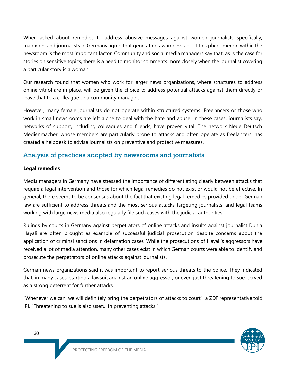When asked about remedies to address abusive messages against women journalists specifically, managers and journalists in Germany agree that generating awareness about this phenomenon within the newsroom is the most important factor. Community and social media managers say that, as is the case for stories on sensitive topics, there is a need to monitor comments more closely when the journalist covering a particular story is a woman.

Our research found that women who work for larger news organizations, where structures to address online vitriol are in place, will be given the choice to address potential attacks against them directly or leave that to a colleague or a community manager.

However, many female journalists do not operate within structured systems. Freelancers or those who work in small newsrooms are left alone to deal with the hate and abuse. In these cases, journalists say, networks of support, including colleagues and friends, have proven vital. The network Neue Deutsch Medienmacher, whose members are particularly prone to attacks and often operate as freelancers, has created a helpdesk to advise journalists on preventive and protective measures.

## Analysis of practices adopted by newsrooms and journalists

#### **Legal remedies**

Media managers in Germany have stressed the importance of differentiating clearly between attacks that require a legal intervention and those for which legal remedies do not exist or would not be effective. In general, there seems to be consensus about the fact that existing legal remedies provided under German law are sufficient to address threats and the most serious attacks targeting journalists, and legal teams working with large news media also regularly file such cases with the judicial authorities.

Rulings by courts in Germany against perpetrators of online attacks and insults against journalist Dunja Hayali are often brought as example of successful judicial prosecution despite concerns about the application of criminal sanctions in defamation cases. While the prosecutions of Hayali's aggressors have received a lot of media attention, many other cases exist in which German courts were able to identify and prosecute the perpetrators of online attacks against journalists.

German news organizations said it was important to report serious threats to the police. They indicated that, in many cases, starting a lawsuit against an online aggressor, or even just threatening to sue, served as a strong deterrent for further attacks.

"Whenever we can, we will definitely bring the perpetrators of attacks to court", a ZDF representative told IPI. "Threatening to sue is also useful in preventing attacks."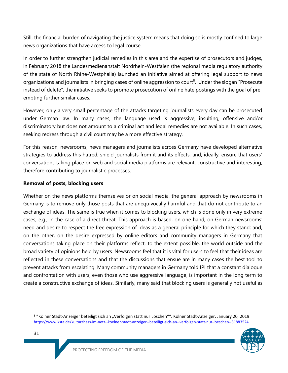Still, the financial burden of navigating the justice system means that doing so is mostly confined to large news organizations that have access to legal course.

In order to further strengthen judicial remedies in this area and the expertise of prosecutors and judges, in February 2018 the Landesmedienanstalt Nordrhein-Westfalen (the regional media regulatory authority of the state of North Rhine-Westphalia) launched an initiative aimed at offering legal support to news organizations and journalists in bringing cases of online aggression to court<sup>8</sup>. Under the slogan "Prosecute instead of delete", the initiative seeks to promote prosecution of online hate postings with the goal of preempting further similar cases.

However, only a very small percentage of the attacks targeting journalists every day can be prosecuted under German law. In many cases, the language used is aggressive, insulting, offensive and/or discriminatory but does not amount to a criminal act and legal remedies are not available. In such cases, seeking redress through a civil court may be a more effective strategy.

For this reason, newsrooms, news managers and journalists across Germany have developed alternative strategies to address this hatred, shield journalists from it and its effects, and, ideally, ensure that users' conversations taking place on web and social media platforms are relevant, constructive and interesting, therefore contributing to journalistic processes.

#### **Removal of posts, blocking users**

Whether on the news platforms themselves or on social media, the general approach by newsrooms in Germany is to remove only those posts that are unequivocally harmful and that do not contribute to an exchange of ideas. The same is true when it comes to blocking users, which is done only in very extreme cases, e.g., in the case of a direct threat. This approach is based, on one hand, on German newsrooms' need and desire to respect the free expression of ideas as a general principle for which they stand; and, on the other, on the desire expressed by online editors and community managers in Germany that conversations taking place on their platforms reflect, to the extent possible, the world outside and the broad variety of opinions held by users. Newsrooms feel that it is vital for users to feel that their ideas are reflected in these conversations and that the discussions that ensue are in many cases the best tool to prevent attacks from escalating. Many community managers in Germany told IPI that a constant dialogue and confrontation with users, even those who use aggressive language, is important in the long term to create a constructive exchange of ideas. Similarly, many said that blocking users is generally not useful as

<sup>&</sup>lt;sup>8</sup> "Kölner Stadt-Anzeiger beteiligt sich an "Verfolgen statt nur Löschen"". Kölner Stadt-Anzeiger. January 20, 2019. <https://www.ksta.de/kultur/hass-im-netz--koelner-stadt-anzeiger--beteiligt-sich-an--verfolgen-statt-nur-loeschen--31883524>



l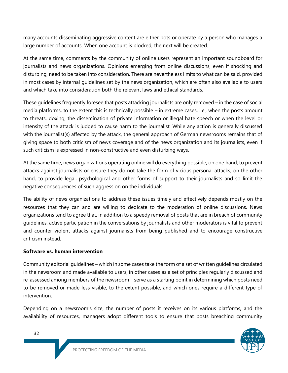many accounts disseminating aggressive content are either bots or operate by a person who manages a large number of accounts. When one account is blocked, the next will be created.

At the same time, comments by the community of online users represent an important soundboard for journalists and news organizations. Opinions emerging from online discussions, even if shocking and disturbing, need to be taken into consideration. There are nevertheless limits to what can be said, provided in most cases by internal guidelines set by the news organization, which are often also available to users and which take into consideration both the relevant laws and ethical standards.

These guidelines frequently foresee that posts attacking journalists are only removed – in the case of social media platforms, to the extent this is technically possible – in extreme cases, i.e., when the posts amount to threats, doxing, the dissemination of private information or illegal hate speech or when the level or intensity of the attack is judged to cause harm to the journalist. While any action is generally discussed with the journalist(s) affected by the attack, the general approach of German newsrooms remains that of giving space to both criticism of news coverage and of the news organization and its journalists, even if such criticism is expressed in non-constructive and even disturbing ways.

At the same time, news organizations operating online will do everything possible, on one hand, to prevent attacks against journalists or ensure they do not take the form of vicious personal attacks; on the other hand, to provide legal, psychological and other forms of support to their journalists and so limit the negative consequences of such aggression on the individuals.

The ability of news organizations to address these issues timely and effectively depends mostly on the resources that they can and are willing to dedicate to the moderation of online discussions. News organizations tend to agree that, in addition to a speedy removal of posts that are in breach of community guidelines, active participation in the conversations by journalists and other moderators is vital to prevent and counter violent attacks against journalists from being published and to encourage constructive criticism instead.

#### **Software vs. human intervention**

Community editorial guidelines – which in some cases take the form of a set of written guidelines circulated in the newsroom and made available to users, in other cases as a set of principles regularly discussed and re-assessed among members of the newsroom – serve as a starting point in determining which posts need to be removed or made less visible, to the extent possible, and which ones require a different type of intervention.

Depending on a newsroom's size, the number of posts it receives on its various platforms, and the availability of resources, managers adopt different tools to ensure that posts breaching community

32

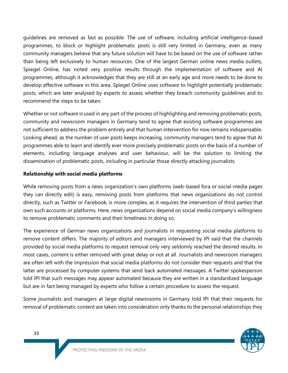guidelines are removed as fast as possible. The use of software, including artificial intelligence-based programmes, to block or highlight problematic posts is still very limited in Germany, even as many community managers believe that any future solution will have to be based on the use of software rather than being left exclusively to human resources. One of the largest German online news media outlets, Spiegel Online, has noted very positive results through the implementation of software and AI programmes, although it acknowledges that they are still at an early age and more needs to be done to develop effective software in this area. Spiegel Online uses software to highlight potentially problematic posts, which are later analysed by experts to assess whether they breach community guidelines and to recommend the steps to be taken.

Whether or not software is used in any part of the process of highlighting and removing problematic posts, community and newsroom managers in Germany tend to agree that existing software programmes are not sufficient to address the problem entirely and that human intervention for now remains indispensable. Looking ahead, as the number of user posts keeps increasing, community managers tend to agree that AI programmes able to learn and identify ever more precisely problematic posts on the basis of a number of elements, including language analyses and user behaviour, will be the solution to limiting the dissemination of problematic posts, including in particular those directly attacking journalists.

#### **Relationship with social media platforms**

While removing posts from a news organization's own platforms (web-based fora or social-media pages they can directly edit) is easy, removing posts from platforms that news organizations do not control directly, such as Twitter or Facebook, is more complex, as it requires the intervention of third parties that own such accounts or platforms. Here, news organizations depend on social media company's willingness to remove problematic comments and their timeliness in doing so.

The experience of German news organizations and journalists in requesting social media platforms to remove content differs. The majority of editors and managers interviewed by IPI said that the channels provided by social media platforms to request removal only very seldomly reached the desired results. In most cases, content is either removed with great delay or not at all. Journalists and newsroom managers are often left with the impression that social media platforms do not consider their requests and that the latter are processed by computer systems that send back automated messages. A Twitter spokesperson told IPI that such messages may appear automated because they are written in a standardized language but are in fact being managed by experts who follow a certain procedure to assess the request.

Some journalists and managers at large digital newsrooms in Germany told IPI that their requests for removal of problematic content are taken into consideration only thanks to the personal relationships they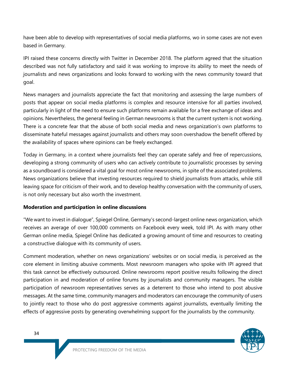have been able to develop with representatives of social media platforms, wo in some cases are not even based in Germany.

IPI raised these concerns directly with Twitter in December 2018. The platform agreed that the situation described was not fully satisfactory and said it was working to improve its ability to meet the needs of journalists and news organizations and looks forward to working with the news community toward that goal.

News managers and journalists appreciate the fact that monitoring and assessing the large numbers of posts that appear on social media platforms is complex and resource intensive for all parties involved, particularly in light of the need to ensure such platforms remain available for a free exchange of ideas and opinions. Nevertheless, the general feeling in German newsrooms is that the current system is not working. There is a concrete fear that the abuse of both social media and news organization's own platforms to disseminate hateful messages against journalists and others may soon overshadow the benefit offered by the availability of spaces where opinions can be freely exchanged.

Today in Germany, in a context where journalists feel they can operate safely and free of repercussions, developing a strong community of users who can actively contribute to journalistic processes by serving as a soundboard is considered a vital goal for most online newsrooms, in spite of the associated problems. News organizations believe that investing resources required to shield journalists from attacks, while still leaving space for criticism of their work, and to develop healthy conversation with the community of users, is not only necessary but also worth the investment.

#### **Moderation and participation in online discussions**

"We want to invest in dialogue", Spiegel Online, Germany's second-largest online news organization, which receives an average of over 100,000 comments on Facebook every week, told IPI. As with many other German online media, Spiegel Online has dedicated a growing amount of time and resources to creating a constructive dialogue with its community of users.

Comment moderation, whether on news organizations' websites or on social media, is perceived as the core element in limiting abusive comments. Most newsroom managers who spoke with IPI agreed that this task cannot be effectively outsourced. Online newsrooms report positive results following the direct participation in and moderation of online forums by journalists and community managers. The visible participation of newsroom representatives serves as a deterrent to those who intend to post abusive messages. At the same time, community managers and moderators can encourage the community of users to jointly react to those who do post aggressive comments against journalists, eventually limiting the effects of aggressive posts by generating overwhelming support for the journalists by the community.

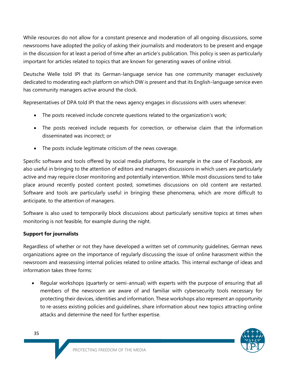While resources do not allow for a constant presence and moderation of all ongoing discussions, some newsrooms have adopted the policy of asking their journalists and moderators to be present and engage in the discussion for at least a period of time after an article's publication. This policy is seen as particularly important for articles related to topics that are known for generating waves of online vitriol.

Deutsche Welle told IPI that its German-language service has one community manager exclusively dedicated to moderating each platform on which DW is present and that its English-language service even has community managers active around the clock.

Representatives of DPA told IPI that the news agency engages in discussions with users whenever:

- The posts received include concrete questions related to the organization's work;
- The posts received include requests for correction, or otherwise claim that the information disseminated was incorrect; or
- The posts include legitimate criticism of the news coverage.

Specific software and tools offered by social media platforms, for example in the case of Facebook, are also useful in bringing to the attention of editors and managers discussions in which users are particularly active and may require closer monitoring and potentially intervention. While most discussions tend to take place around recently posted content posted, sometimes discussions on old content are restarted. Software and tools are particularly useful in bringing these phenomena, which are more difficult to anticipate, to the attention of managers.

Software is also used to temporarily block discussions about particularly sensitive topics at times when monitoring is not feasible, for example during the night.

#### **Support for journalists**

Regardless of whether or not they have developed a written set of community guidelines, German news organizations agree on the importance of regularly discussing the issue of online harassment within the newsroom and reassessing internal policies related to online attacks. This internal exchange of ideas and information takes three forms:

• Regular workshops (quarterly or semi-annual) with experts with the purpose of ensuring that all members of the newsroom are aware of and familiar with cybersecurity tools necessary for protecting their devices, identities and information. These workshops also represent an opportunity to re-assess existing policies and guidelines, share information about new topics attracting online attacks and determine the need for further expertise.

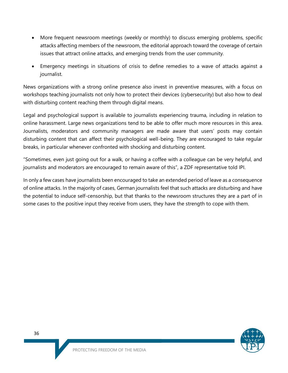- More frequent newsroom meetings (weekly or monthly) to discuss emerging problems, specific attacks affecting members of the newsroom, the editorial approach toward the coverage of certain issues that attract online attacks, and emerging trends from the user community.
- Emergency meetings in situations of crisis to define remedies to a wave of attacks against a journalist.

News organizations with a strong online presence also invest in preventive measures, with a focus on workshops teaching journalists not only how to protect their devices (cybersecurity) but also how to deal with disturbing content reaching them through digital means.

Legal and psychological support is available to journalists experiencing trauma, including in relation to online harassment. Large news organizations tend to be able to offer much more resources in this area. Journalists, moderators and community managers are made aware that users' posts may contain disturbing content that can affect their psychological well-being. They are encouraged to take regular breaks, in particular whenever confronted with shocking and disturbing content.

"Sometimes, even just going out for a walk, or having a coffee with a colleague can be very helpful, and journalists and moderators are encouraged to remain aware of this", a ZDF representative told IPI.

In only a few cases have journalists been encouraged to take an extended period of leave as a consequence of online attacks. In the majority of cases, German journalists feel that such attacks are disturbing and have the potential to induce self-censorship, but that thanks to the newsroom structures they are a part of in some cases to the positive input they receive from users, they have the strength to cope with them.

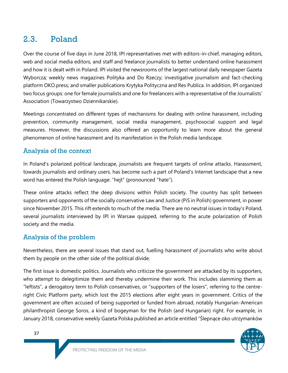# 2.3. Poland

Over the course of five days in June 2018, IPI representatives met with editors-in-chief, managing editors, web and social media editors, and staff and freelance journalists to better understand online harassment and how it is dealt with in Poland. IPI visited the newsrooms of the largest national daily newspaper Gazeta Wyborcza; weekly news magazines Polityka and Do Rzeczy; investigative journalism and fact-checking platform OKO.press; and smaller publications Krytyka Polityczna and Res Publica. In addition, IPI organized two focus groups: one for female journalists and one for freelancers with a representative of the Journalists' Association (Towarzystwo Dziennikarskie).

Meetings concentrated on different types of mechanisms for dealing with online harassment, including prevention, community management, social media management, psychosocial support and legal measures. However, the discussions also offered an opportunity to learn more about the general phenomenon of online harassment and its manifestation in the Polish media landscape.

### Analysis of the context

In Poland's polarized political landscape, journalists are frequent targets of online attacks. Harassment, towards journalists and ordinary users, has become such a part of Poland's Internet landscape that a new word has entered the Polish language: "hejt" (pronounced "hate").

These online attacks reflect the deep divisions within Polish society. The country has split between supporters and opponents of the socially conservative Law and Justice (PiS in Polish) government, in power since November 2015. This rift extends to much of the media. There are no neutral issues in today's Poland, several journalists interviewed by IPI in Warsaw quipped, referring to the acute polarization of Polish society and the media.

## Analysis of the problem

Nevertheless, there are several issues that stand out, fuelling harassment of journalists who write about them by people on the other side of the political divide.

The first issue is domestic politics. Journalists who criticize the government are attacked by its supporters, who attempt to delegitimize them and thereby undermine their work. This includes slamming them as "leftists", a derogatory term to Polish conservatives, or "supporters of the losers", referring to the centreright Civic Platform party, which lost the 2015 elections after eight years in government. Critics of the government are often accused of being supported or funded from abroad, notably Hungarian-American philanthropist George Soros, a kind of bogeyman for the Polish (and Hungarian) right. For example, in January 2018, conservative weekly Gazeta Polska published an article entitled "Ślepnące oko utrzymanków

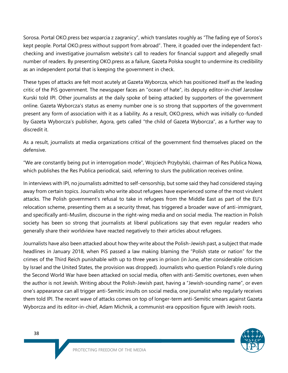Sorosa. Portal OKO.press bez wsparcia z zagranicy", which translates roughly as "The fading eye of Soros's kept people. Portal OKO.press without support from abroad". There, it goaded over the independent factchecking and investigative journalism website's call to readers for financial support and allegedly small number of readers. By presenting OKO.press as a failure, Gazeta Polska sought to undermine its credibility as an independent portal that is keeping the government in check.

These types of attacks are felt most acutely at Gazeta Wyborcza, which has positioned itself as the leading critic of the PiS government. The newspaper faces an "ocean of hate", its deputy editor-in-chief Jarosław Kurski told IPI. Other journalists at the daily spoke of being attacked by supporters of the government online. Gazeta Wyborcza's status as enemy number one is so strong that supporters of the government present any form of association with it as a liability. As a result, OKO.press, which was initially co-funded by Gazeta Wyborcza's publisher, Agora, gets called "the child of Gazeta Wyborcza", as a further way to discredit it.

As a result, journalists at media organizations critical of the government find themselves placed on the defensive.

"We are constantly being put in interrogation mode", Wojciech Przybylski, chairman of Res Publica Nowa, which publishes the Res Publica periodical, said, referring to slurs the publication receives online.

In interviews with IPI, no journalists admitted to self-censorship, but some said they had considered staying away from certain topics. Journalists who write about refugees have experienced some of the most virulent attacks. The Polish government's refusal to take in refugees from the Middle East as part of the EU's relocation scheme, presenting them as a security threat, has triggered a broader wave of anti-immigrant, and specifically anti-Muslim, discourse in the right-wing media and on social media. The reaction in Polish society has been so strong that journalists at liberal publications say that even regular readers who generally share their worldview have reacted negatively to their articles about refugees.

Journalists have also been attacked about how they write about the Polish-Jewish past, a subject that made headlines in January 2018, when PiS passed a law making blaming the "Polish state or nation" for the crimes of the Third Reich punishable with up to three years in prison (in June, after considerable criticism by Israel and the United States, the provision was dropped). Journalists who question Poland's role during the Second World War have been attacked on social media, often with anti-Semitic overtones, even when the author is not Jewish. Writing about the Polish-Jewish past, having a "Jewish-sounding name", or even one's appearance can all trigger anti-Semitic insults on social media, one journalist who regularly receives them told IPI. The recent wave of attacks comes on top of longer-term anti-Semitic smears against Gazeta Wyborcza and its editor-in-chief, Adam Michnik, a communist-era opposition figure with Jewish roots.

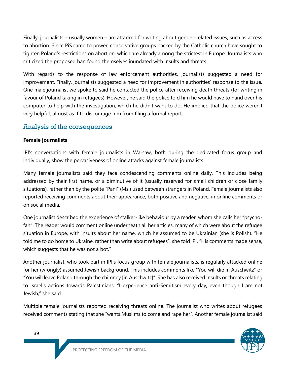Finally, journalists – usually women – are attacked for writing about gender-related issues, such as access to abortion. Since PiS came to power, conservative groups backed by the Catholic church have sought to tighten Poland's restrictions on abortion, which are already among the strictest in Europe. Journalists who criticized the proposed ban found themselves inundated with insults and threats.

With regards to the response of law enforcement authorities, journalists suggested a need for improvement. Finally, journalists suggested a need for improvement in authorities' response to the issue. One male journalist we spoke to said he contacted the police after receiving death threats (for writing in favour of Poland taking in refugees). However, he said the police told him he would have to hand over his computer to help with the investigation, which he didn't want to do. He implied that the police weren't very helpful, almost as if to discourage him from filing a formal report.

### Analysis of the consequences

#### **Female journalists**

IPI's conversations with female journalists in Warsaw, both during the dedicated focus group and individually, show the pervasiveness of online attacks against female journalists.

Many female journalists said they face condescending comments online daily. This includes being addressed by their first name, or a diminutive of it (usually reserved for small children or close family situations), rather than by the polite "Pani" (Ms.) used between strangers in Poland. Female journalists also reported receiving comments about their appearance, both positive and negative, in online comments or on social media.

One journalist described the experience of stalker-like behaviour by a reader, whom she calls her "psychofan". The reader would comment online underneath all her articles, many of which were about the refugee situation in Europe, with insults about her name, which he assumed to be Ukrainian (she is Polish). "He told me to go home to Ukraine, rather than write about refugees", she told IPI. "His comments made sense, which suggests that he was not a bot."

Another journalist, who took part in IPI's focus group with female journalists, is regularly attacked online for her (wrongly) assumed Jewish background. This includes comments like "You will die in Auschwitz" or "You will leave Poland through the chimney [in Auschwitz]". She has also received insults or threats relating to Israel's actions towards Palestinians. "I experience anti-Semitism every day, even though I am not Jewish," she said.

Multiple female journalists reported receiving threats online. The journalist who writes about refugees received comments stating that she "wants Muslims to come and rape her". Another female journalist said

39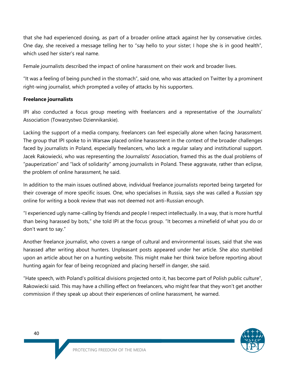that she had experienced doxing, as part of a broader online attack against her by conservative circles. One day, she received a message telling her to "say hello to your sister; I hope she is in good health", which used her sister's real name.

Female journalists described the impact of online harassment on their work and broader lives.

"It was a feeling of being punched in the stomach", said one, who was attacked on Twitter by a prominent right-wing journalist, which prompted a volley of attacks by his supporters.

#### **Freelance journalists**

IPI also conducted a focus group meeting with freelancers and a representative of the Journalists' Association (Towarzystwo Dziennikarskie).

Lacking the support of a media company, freelancers can feel especially alone when facing harassment. The group that IPI spoke to in Warsaw placed online harassment in the context of the broader challenges faced by journalists in Poland, especially freelancers, who lack a regular salary and institutional support. Jacek Rakowiecki, who was representing the Journalists' Association, framed this as the dual problems of "pauperization" and "lack of solidarity" among journalists in Poland. These aggravate, rather than eclipse, the problem of online harassment, he said.

In addition to the main issues outlined above, individual freelance journalists reported being targeted for their coverage of more specific issues. One, who specialises in Russia, says she was called a Russian spy online for writing a book review that was not deemed not anti-Russian enough.

"I experienced ugly name-calling by friends and people I respect intellectually. In a way, that is more hurtful than being harassed by bots," she told IPI at the focus group. "It becomes a minefield of what you do or don't want to say."

Another freelance journalist, who covers a range of cultural and environmental issues, said that she was harassed after writing about hunters. Unpleasant posts appeared under her article. She also stumbled upon an article about her on a hunting website. This might make her think twice before reporting about hunting again for fear of being recognized and placing herself in danger, she said.

"Hate speech, with Poland's political divisions projected onto it, has become part of Polish public culture", Rakowiecki said. This may have a chilling effect on freelancers, who might fear that they won't get another commission if they speak up about their experiences of online harassment, he warned.

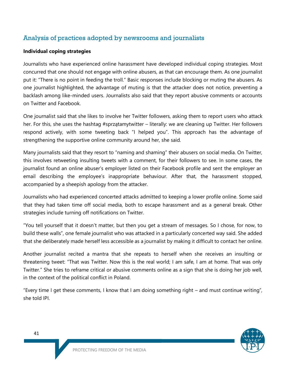# Analysis of practices adopted by newsrooms and journalists

#### **Individual coping strategies**

Journalists who have experienced online harassment have developed individual coping strategies. Most concurred that one should not engage with online abusers, as that can encourage them. As one journalist put it: "There is no point in feeding the troll." Basic responses include blocking or muting the abusers. As one journalist highlighted, the advantage of muting is that the attacker does not notice, preventing a backlash among like-minded users. Journalists also said that they report abusive comments or accounts on Twitter and Facebook.

One journalist said that she likes to involve her Twitter followers, asking them to report users who attack her. For this, she uses the hashtag #sprzątamytwitter – literally: we are cleaning up Twitter. Her followers respond actively, with some tweeting back "I helped you". This approach has the advantage of strengthening the supportive online community around her, she said.

Many journalists said that they resort to "naming and shaming" their abusers on social media. On Twitter, this involves retweeting insulting tweets with a comment, for their followers to see. In some cases, the journalist found an online abuser's employer listed on their Facebook profile and sent the employer an email describing the employee's inappropriate behaviour. After that, the harassment stopped, accompanied by a sheepish apology from the attacker.

Journalists who had experienced concerted attacks admitted to keeping a lower profile online. Some said that they had taken time off social media, both to escape harassment and as a general break. Other strategies include turning off notifications on Twitter.

"You tell yourself that it doesn't matter, but then you get a stream of messages. So I chose, for now, to build these walls", one female journalist who was attacked in a particularly concerted way said. She added that she deliberately made herself less accessible as a journalist by making it difficult to contact her online.

Another journalist recited a mantra that she repeats to herself when she receives an insulting or threatening tweet: "That was Twitter. Now this is the real world; I am safe, I am at home. That was only Twitter." She tries to reframe critical or abusive comments online as a sign that she is doing her job well, in the context of the political conflict in Poland.

"Every time I get these comments, I know that I am doing something right  $-$  and must continue writing", she told IPI.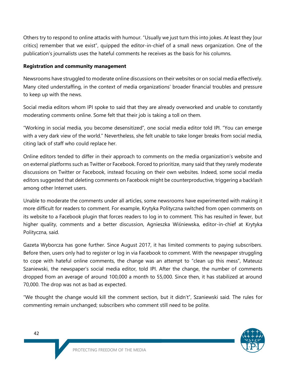Others try to respond to online attacks with humour. "Usually we just turn this into jokes. At least they [our critics] remember that we exist", quipped the editor-in-chief of a small news organization. One of the publication's journalists uses the hateful comments he receives as the basis for his columns.

#### **Registration and community management**

Newsrooms have struggled to moderate online discussions on their websites or on social media effectively. Many cited understaffing, in the context of media organizations' broader financial troubles and pressure to keep up with the news.

Social media editors whom IPI spoke to said that they are already overworked and unable to constantly moderating comments online. Some felt that their job is taking a toll on them.

"Working in social media, you become desensitized", one social media editor told IPI. "You can emerge with a very dark view of the world." Nevertheless, she felt unable to take longer breaks from social media, citing lack of staff who could replace her.

Online editors tended to differ in their approach to comments on the media organization's website and on external platforms such as Twitter or Facebook. Forced to prioritize, many said that they rarely moderate discussions on Twitter or Facebook, instead focusing on their own websites. Indeed, some social media editors suggested that deleting comments on Facebook might be counterproductive, triggering a backlash among other Internet users.

Unable to moderate the comments under all articles, some newsrooms have experimented with making it more difficult for readers to comment. For example, Krytyka Polityczna switched from open comments on its website to a Facebook plugin that forces readers to log in to comment. This has resulted in fewer, but higher quality, comments and a better discussion, Agnieszka Wiśniewska, editor-in-chief at Krytyka Polityczna, said.

Gazeta Wyborcza has gone further. Since August 2017, it has limited comments to paying subscribers. Before then, users only had to register or log in via Facebook to comment. With the newspaper struggling to cope with hateful online comments, the change was an attempt to "clean up this mess", Mateusz Szaniewski, the newspaper's social media editor, told IPI. After the change, the number of comments dropped from an average of around 100,000 a month to 55,000. Since then, it has stabilized at around 70,000. The drop was not as bad as expected.

"We thought the change would kill the comment section, but it didn't", Szaniewski said. The rules for commenting remain unchanged; subscribers who comment still need to be polite.

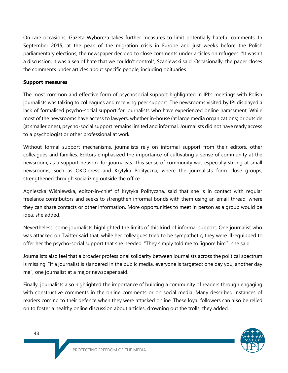On rare occasions, Gazeta Wyborcza takes further measures to limit potentially hateful comments. In September 2015, at the peak of the migration crisis in Europe and just weeks before the Polish parliamentary elections, the newspaper decided to close comments under articles on refugees. "It wasn't a discussion, it was a sea of hate that we couldn't control", Szaniewski said. Occasionally, the paper closes the comments under articles about specific people, including obituaries.

#### **Support measures**

The most common and effective form of psychosocial support highlighted in IPI's meetings with Polish journalists was talking to colleagues and receiving peer support. The newsrooms visited by IPI displayed a lack of formalised psycho-social support for journalists who have experienced online harassment. While most of the newsrooms have access to lawyers, whether in-house (at large media organizations) or outside (at smaller ones), psycho-social support remains limited and informal. Journalists did not have ready access to a psychologist or other professional at work.

Without formal support mechanisms, journalists rely on informal support from their editors, other colleagues and families. Editors emphasized the importance of cultivating a sense of community at the newsroom, as a support network for journalists. This sense of community was especially strong at small newsrooms, such as OKO.press and Krytyka Polityczna, where the journalists form close groups, strengthened through socializing outside the office.

Agnieszka Wiśniewska, editor-in-chief of Krytyka Polityczna, said that she is in contact with regular freelance contributors and seeks to strengthen informal bonds with them using an email thread, where they can share contacts or other information. More opportunities to meet in person as a group would be idea, she added.

Nevertheless, some journalists highlighted the limits of this kind of informal support. One journalist who was attacked on Twitter said that, while her colleagues tried to be sympathetic, they were ill-equipped to offer her the psycho-social support that she needed. "They simply told me to 'ignore him'", she said.

Journalists also feel that a broader professional solidarity between journalists across the political spectrum is missing. "If a journalist is slandered in the public media, everyone is targeted; one day you, another day me", one journalist at a major newspaper said.

Finally, journalists also highlighted the importance of building a community of readers through engaging with constructive comments in the online comments or on social media. Many described instances of readers coming to their defence when they were attacked online. These loyal followers can also be relied on to foster a healthy online discussion about articles, drowning out the trolls, they added.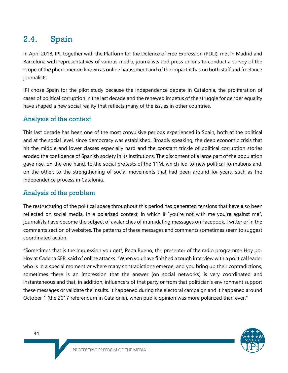# 2.4. Spain

In April 2018, IPI, together with the Platform for the Defence of Free Expression (PDLI), met in Madrid and Barcelona with representatives of various media, journalists and press unions to conduct a survey of the scope of the phenomenon known as online harassment and of the impact it has on both staff and freelance journalists.

IPI chose Spain for the pilot study because the independence debate in Catalonia, the proliferation of cases of political corruption in the last decade and the renewed impetus of the struggle for gender equality have shaped a new social reality that reflects many of the issues in other countries.

## Analysis of the context

This last decade has been one of the most convulsive periods experienced in Spain, both at the political and at the social level, since democracy was established. Broadly speaking, the deep economic crisis that hit the middle and lower classes especially hard and the constant trickle of political corruption stories eroded the confidence of Spanish society in its institutions. The discontent of a large part of the population gave rise, on the one hand, to the social protests of the 11M, which led to new political formations and, on the other, to the strengthening of social movements that had been around for years, such as the independence process in Catalonia.

### Analysis of the problem

The restructuring of the political space throughout this period has generated tensions that have also been reflected on social media. In a polarized context, in which if "you're not with me you're against me", journalists have become the subject of avalanches of intimidating messages on Facebook, Twitter or in the comments section of websites. The patterns of these messages and comments sometimes seem to suggest coordinated action.

"Sometimes that is the impression you get", Pepa Bueno, the presenter of the radio programme Hoy por Hoy at Cadena SER, said of online attacks. "When you have finished a tough interview with a political leader who is in a special moment or where many contradictions emerge, and you bring up their contradictions, sometimes there is an impression that the answer (on social networks) is very coordinated and instantaneous and that, in addition, influencers of that party or from that politician's environment support these messages or validate the insults. It happened during the electoral campaign and it happened around October 1 (the 2017 referendum in Catalonia), when public opinion was more polarized than ever."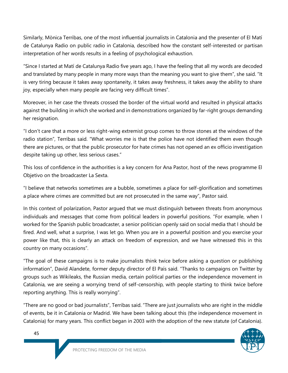Similarly, Mònica Terribas, one of the most influential journalists in Catalonia and the presenter of El Matí de Catalunya Radio on public radio in Catalonia, described how the constant self-interested or partisan interpretation of her words results in a feeling of psychological exhaustion.

"Since I started at Matí de Catalunya Radio five years ago, I have the feeling that all my words are decoded and translated by many people in many more ways than the meaning you want to give them", she said. "It is very tiring because it takes away spontaneity, it takes away freshness, it takes away the ability to share joy, especially when many people are facing very difficult times".

Moreover, in her case the threats crossed the border of the virtual world and resulted in physical attacks against the building in which she worked and in demonstrations organized by far-right groups demanding her resignation.

"I don't care that a more or less right-wing extremist group comes to throw stones at the windows of the radio station", Terribas said. "What worries me is that the police have not identified them even though there are pictures, or that the public prosecutor for hate crimes has not opened an ex officio investigation despite taking up other, less serious cases."

This loss of confidence in the authorities is a key concern for Ana Pastor, host of the news programme El Objetivo on the broadcaster La Sexta.

"I believe that networks sometimes are a bubble, sometimes a place for self-glorification and sometimes a place where crimes are committed but are not prosecuted in the same way", Pastor said.

In this context of polarization, Pastor argued that we must distinguish between threats from anonymous individuals and messages that come from political leaders in powerful positions. "For example, when I worked for the Spanish public broadcaster, a senior politician openly said on social media that I should be fired. And well, what a surprise, I was let go. When you are in a powerful position and you exercise your power like that, this is clearly an attack on freedom of expression, and we have witnessed this in this country on many occasions".

"The goal of these campaigns is to make journalists think twice before asking a question or publishing information", David Alandete, former deputy director of El País said. "Thanks to campaigns on Twitter by groups such as Wikileaks, the Russian media, certain political parties or the independence movement in Catalonia, we are seeing a worrying trend of self-censorship, with people starting to think twice before reporting anything. This is really worrying".

"There are no good or bad journalists", Terribas said. "There are just journalists who are right in the middle of events, be it in Catalonia or Madrid. We have been talking about this (the independence movement in Catalonia) for many years. This conflict began in 2003 with the adoption of the new statute (of Catalonia).



45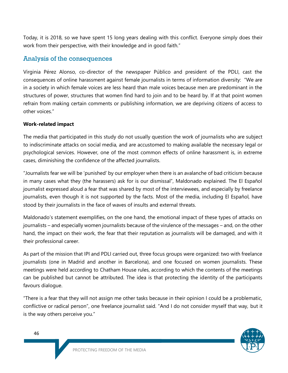Today, it is 2018, so we have spent 15 long years dealing with this conflict. Everyone simply does their work from their perspective, with their knowledge and in good faith."

### Analysis of the consequences

Virginia Pérez Alonso, co-director of the newspaper Público and president of the PDLI, cast the consequences of online harassment against female journalists in terms of information diversity: "We are in a society in which female voices are less heard than male voices because men are predominant in the structures of power, structures that women find hard to join and to be heard by. If at that point women refrain from making certain comments or publishing information, we are depriving citizens of access to other voices."

#### **Work-related impact**

The media that participated in this study do not usually question the work of journalists who are subject to indiscriminate attacks on social media, and are accustomed to making available the necessary legal or psychological services. However, one of the most common effects of online harassment is, in extreme cases, diminishing the confidence of the affected journalists.

"Journalists fear we will be 'punished' by our employer when there is an avalanche of bad criticism because in many cases what they (the harassers) ask for is our dismissal", Maldonado explained. The El Español journalist expressed aloud a fear that was shared by most of the interviewees, and especially by freelance journalists, even though it is not supported by the facts. Most of the media, including El Español, have stood by their journalists in the face of waves of insults and external threats.

Maldonado's statement exemplifies, on the one hand, the emotional impact of these types of attacks on journalists – and especially women journalists because of the virulence of the messages – and, on the other hand, the impact on their work, the fear that their reputation as journalists will be damaged, and with it their professional career.

As part of the mission that IPI and PDLI carried out, three focus groups were organized: two with freelance journalists (one in Madrid and another in Barcelona), and one focused on women journalists. These meetings were held according to Chatham House rules, according to which the contents of the meetings can be published but cannot be attributed. The idea is that protecting the identity of the participants favours dialogue.

"There is a fear that they will not assign me other tasks because in their opinion I could be a problematic, conflictive or radical person", one freelance journalist said. "And I do not consider myself that way, but it is the way others perceive you."

46

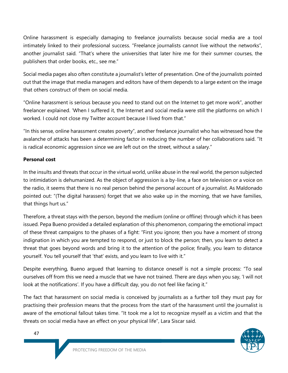Online harassment is especially damaging to freelance journalists because social media are a tool intimately linked to their professional success. "Freelance journalists cannot live without the networks", another journalist said. "That's where the universities that later hire me for their summer courses, the publishers that order books, etc., see me."

Social media pages also often constitute a journalist's letter of presentation. One of the journalists pointed out that the image that media managers and editors have of them depends to a large extent on the image that others construct of them on social media.

"Online harassment is serious because you need to stand out on the Internet to get more work", another freelancer explained. 'When I suffered it, the Internet and social media were still the platforms on which I worked. I could not close my Twitter account because I lived from that."

"In this sense, online harassment creates poverty", another freelance journalist who has witnessed how the avalanche of attacks has been a determining factor in reducing the number of her collaborations said. "It is radical economic aggression since we are left out on the street, without a salary."

#### **Personal cost**

In the insults and threats that occur in the virtual world, unlike abuse in the real world, the person subjected to intimidation is dehumanized. As the object of aggression is a by-line, a face on television or a voice on the radio, it seems that there is no real person behind the personal account of a journalist. As Maldonado pointed out: "(The digital harassers) forget that we also wake up in the morning, that we have families, that things hurt us."

Therefore, a threat stays with the person, beyond the medium (online or offline) through which it has been issued. Pepa Bueno provided a detailed explanation of this phenomenon, comparing the emotional impact of these threat campaigns to the phases of a fight: "First you ignore; then you have a moment of strong indignation in which you are tempted to respond, or just to block the person; then, you learn to detect a threat that goes beyond words and bring it to the attention of the police; finally, you learn to distance yourself. You tell yourself that 'that' exists, and you learn to live with it."

Despite everything, Bueno argued that learning to distance oneself is not a simple process: "To seal ourselves off from this we need a muscle that we have not trained. There are days when you say, 'I will not look at the notifications'. If you have a difficult day, you do not feel like facing it."

The fact that harassment on social media is conceived by journalists as a further toll they must pay for practising their profession means that the process from the start of the harassment until the journalist is aware of the emotional fallout takes time. "It took me a lot to recognize myself as a victim and that the threats on social media have an effect on your physical life", Lara Siscar said.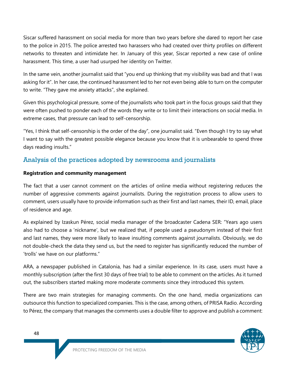Siscar suffered harassment on social media for more than two years before she dared to report her case to the police in 2015. The police arrested two harassers who had created over thirty profiles on different networks to threaten and intimidate her. In January of this year, Siscar reported a new case of online harassment. This time, a user had usurped her identity on Twitter.

In the same vein, another journalist said that "you end up thinking that my visibility was bad and that I was asking for it". In her case, the continued harassment led to her not even being able to turn on the computer to write. "They gave me anxiety attacks", she explained.

Given this psychological pressure, some of the journalists who took part in the focus groups said that they were often pushed to ponder each of the words they write or to limit their interactions on social media. In extreme cases, that pressure can lead to self-censorship.

"Yes, I think that self-censorship is the order of the day", one journalist said. "Even though I try to say what I want to say with the greatest possible elegance because you know that it is unbearable to spend three days reading insults."

# Analysis of the practices adopted by newsrooms and journalists

#### **Registration and community management**

The fact that a user cannot comment on the articles of online media without registering reduces the number of aggressive comments against journalists. During the registration process to allow users to comment, users usually have to provide information such as their first and last names, their ID, email, place of residence and age.

As explained by Izaskun Pérez, social media manager of the broadcaster Cadena SER: "Years ago users also had to choose a 'nickname', but we realized that, if people used a pseudonym instead of their first and last names, they were more likely to leave insulting comments against journalists. Obviously, we do not double-check the data they send us, but the need to register has significantly reduced the number of 'trolls' we have on our platforms."

ARA, a newspaper published in Catalonia, has had a similar experience. In its case, users must have a monthly subscription (after the first 30 days of free trial) to be able to comment on the articles. As it turned out, the subscribers started making more moderate comments since they introduced this system.

There are two main strategies for managing comments. On the one hand, media organizations can outsource this function to specialized companies. This is the case, among others, of PRISA Radio. According to Pérez, the company that manages the comments uses a double filter to approve and publish a comment: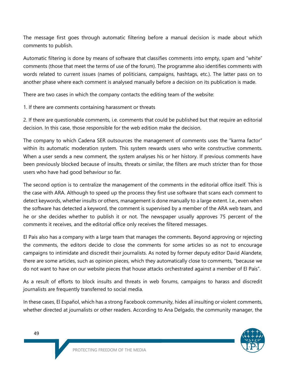The message first goes through automatic filtering before a manual decision is made about which comments to publish.

Automatic filtering is done by means of software that classifies comments into empty, spam and "white" comments (those that meet the terms of use of the forum). The programme also identifies comments with words related to current issues (names of politicians, campaigns, hashtags, etc.). The latter pass on to another phase where each comment is analysed manually before a decision on its publication is made.

There are two cases in which the company contacts the editing team of the website:

1. If there are comments containing harassment or threats

2. If there are questionable comments, i.e. comments that could be published but that require an editorial decision. In this case, those responsible for the web edition make the decision.

The company to which Cadena SER outsources the management of comments uses the "karma factor" within its automatic moderation system. This system rewards users who write constructive comments. When a user sends a new comment, the system analyses his or her history. If previous comments have been previously blocked because of insults, threats or similar, the filters are much stricter than for those users who have had good behaviour so far.

The second option is to centralize the management of the comments in the editorial office itself. This is the case with ARA. Although to speed up the process they first use software that scans each comment to detect keywords, whether insults or others, management is done manually to a large extent. I.e., even when the software has detected a keyword, the comment is supervised by a member of the ARA web team, and he or she decides whether to publish it or not. The newspaper usually approves 75 percent of the comments it receives, and the editorial office only receives the filtered messages.

El País also has a company with a large team that manages the comments. Beyond approving or rejecting the comments, the editors decide to close the comments for some articles so as not to encourage campaigns to intimidate and discredit their journalists. As noted by former deputy editor David Alandete, there are some articles, such as opinion pieces, which they automatically close to comments, "because we do not want to have on our website pieces that house attacks orchestrated against a member of El País".

As a result of efforts to block insults and threats in web forums, campaigns to harass and discredit journalists are frequently transferred to social media.

In these cases, El Español, which has a strong Facebook community, hides all insulting or violent comments, whether directed at journalists or other readers. According to Ana Delgado, the community manager, the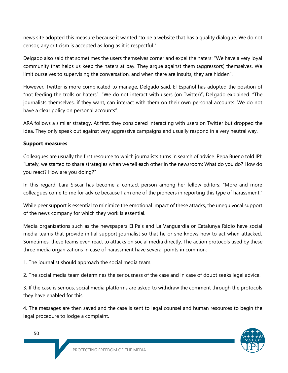news site adopted this measure because it wanted "to be a website that has a quality dialogue. We do not censor; any criticism is accepted as long as it is respectful."

Delgado also said that sometimes the users themselves corner and expel the haters: "We have a very loyal community that helps us keep the haters at bay. They argue against them (aggressors) themselves. We limit ourselves to supervising the conversation, and when there are insults, they are hidden".

However, Twitter is more complicated to manage, Delgado said. El Español has adopted the position of "not feeding the trolls or haters". "We do not interact with users (on Twitter)", Delgado explained. "The journalists themselves, if they want, can interact with them on their own personal accounts. We do not have a clear policy on personal accounts".

ARA follows a similar strategy. At first, they considered interacting with users on Twitter but dropped the idea. They only speak out against very aggressive campaigns and usually respond in a very neutral way.

#### **Support measures**

Colleagues are usually the first resource to which journalists turns in search of advice. Pepa Bueno told IPI: "Lately, we started to share strategies when we tell each other in the newsroom: What do you do? How do you react? How are you doing?"

In this regard, Lara Siscar has become a contact person among her fellow editors: "More and more colleagues come to me for advice because I am one of the pioneers in reporting this type of harassment."

While peer support is essential to minimize the emotional impact of these attacks, the unequivocal support of the news company for which they work is essential.

Media organizations such as the newspapers El País and La Vanguardia or Catalunya Ràdio have social media teams that provide initial support journalist so that he or she knows how to act when attacked. Sometimes, these teams even react to attacks on social media directly. The action protocols used by these three media organizations in case of harassment have several points in common:

1. The journalist should approach the social media team.

2. The social media team determines the seriousness of the case and in case of doubt seeks legal advice.

3. If the case is serious, social media platforms are asked to withdraw the comment through the protocols they have enabled for this.

4. The messages are then saved and the case is sent to legal counsel and human resources to begin the legal procedure to lodge a complaint.

50

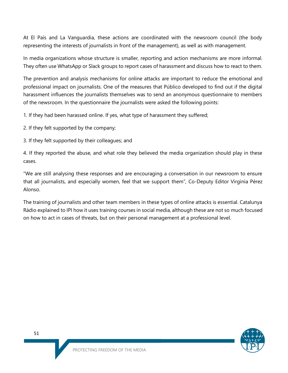At El País and La Vanguardia, these actions are coordinated with the newsroom council (the body representing the interests of journalists in front of the management), as well as with management.

In media organizations whose structure is smaller, reporting and action mechanisms are more informal. They often use WhatsApp or Slack groups to report cases of harassment and discuss how to react to them.

The prevention and analysis mechanisms for online attacks are important to reduce the emotional and professional impact on journalists. One of the measures that Público developed to find out if the digital harassment influences the journalists themselves was to send an anonymous questionnaire to members of the newsroom. In the questionnaire the journalists were asked the following points:

1. If they had been harassed online. If yes, what type of harassment they suffered;

2. If they felt supported by the company;

3. If they felt supported by their colleagues; and

4. If they reported the abuse, and what role they believed the media organization should play in these cases.

"We are still analysing these responses and are encouraging a conversation in our newsroom to ensure that all journalists, and especially women, feel that we support them", Co-Deputy Editor Virginia Pérez Alonso.

The training of journalists and other team members in these types of online attacks is essential. Catalunya Ràdio explained to IPI how it uses training courses in social media, although these are not so much focused on how to act in cases of threats, but on their personal management at a professional level.

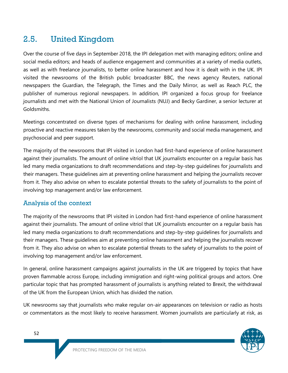# 2.5. United Kingdom

Over the course of five days in September 2018, the IPI delegation met with managing editors; online and social media editors; and heads of audience engagement and communities at a variety of media outlets, as well as with freelance journalists, to better online harassment and how it is dealt with in the UK. IPI visited the newsrooms of the British public broadcaster BBC, the news agency Reuters, national newspapers the Guardian, the Telegraph, the Times and the Daily Mirror, as well as Reach PLC, the publisher of numerous regional newspapers. In addition, IPI organized a focus group for freelance journalists and met with the National Union of Journalists (NUJ) and Becky Gardiner, a senior lecturer at Goldsmiths.

Meetings concentrated on diverse types of mechanisms for dealing with online harassment, including proactive and reactive measures taken by the newsrooms, community and social media management, and psychosocial and peer support.

The majority of the newsrooms that IPI visited in London had first-hand experience of online harassment against their journalists. The amount of online vitriol that UK journalists encounter on a regular basis has led many media organizations to draft recommendations and step-by-step guidelines for journalists and their managers. These guidelines aim at preventing online harassment and helping the journalists recover from it. They also advise on when to escalate potential threats to the safety of journalists to the point of involving top management and/or law enforcement.

### Analysis of the context

The majority of the newsrooms that IPI visited in London had first-hand experience of online harassment against their journalists. The amount of online vitriol that UK journalists encounter on a regular basis has led many media organizations to draft recommendations and step-by-step guidelines for journalists and their managers. These guidelines aim at preventing online harassment and helping the journalists recover from it. They also advise on when to escalate potential threats to the safety of journalists to the point of involving top management and/or law enforcement.

In general, online harassment campaigns against journalists in the UK are triggered by topics that have proven flammable across Europe, including immigration and right-wing political groups and actors. One particular topic that has prompted harassment of journalists is anything related to Brexit, the withdrawal of the UK from the European Union, which has divided the nation.

UK newsrooms say that journalists who make regular on-air appearances on television or radio as hosts or commentators as the most likely to receive harassment. Women journalists are particularly at risk, as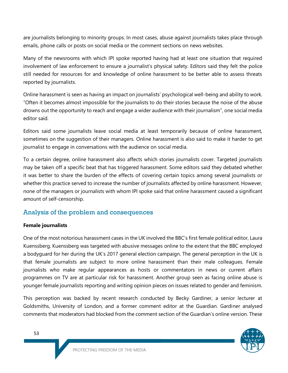are journalists belonging to minority groups. In most cases, abuse against journalists takes place through emails, phone calls or posts on social media or the comment sections on news websites.

Many of the newsrooms with which IPI spoke reported having had at least one situation that required involvement of law enforcement to ensure a journalist's physical safety. Editors said they felt the police still needed for resources for and knowledge of online harassment to be better able to assess threats reported by journalists.

Online harassment is seen as having an impact on journalists' psychological well-being and ability to work. "Often it becomes almost impossible for the journalists to do their stories because the noise of the abuse drowns out the opportunity to reach and engage a wider audience with their journalism", one social media editor said.

Editors said some journalists leave social media at least temporarily because of online harassment, sometimes on the suggestion of their managers. Online harassment is also said to make it harder to get journalist to engage in conversations with the audience on social media.

To a certain degree, online harassment also affects which stories journalists cover. Targeted journalists may be taken off a specific beat that has triggered harassment. Some editors said they debated whether it was better to share the burden of the effects of covering certain topics among several journalists or whether this practice served to increase the number of journalists affected by online harassment. However, none of the managers or journalists with whom IPI spoke said that online harassment caused a significant amount of self-censorship.

### Analysis of the problem and consequences

#### **Female journalists**

One of the most notorious harassment cases in the UK involved the BBC's first female political editor, Laura Kuenssberg. Kuenssberg was targeted with abusive messages online to the extent that the BBC employed a bodyguard for her during the UK's 2017 general election campaign. The general perception in the UK is that female journalists are subject to more online harassment than their male colleagues. Female journalists who make regular appearances as hosts or commentators in news or current affairs programmes on TV are at particular risk for harassment. Another group seen as facing online abuse is younger female journalists reporting and writing opinion pieces on issues related to gender and feminism.

This perception was backed by recent research conducted by Becky Gardiner, a senior lecturer at Goldsmiths, University of London, and a former comment editor at the Guardian. Gardiner analysed comments that moderators had blocked from the comment section of the Guardian's online version. These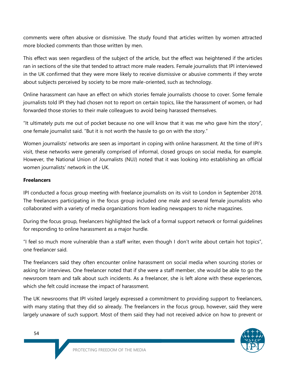comments were often abusive or dismissive. The study found that articles written by women attracted more blocked comments than those written by men.

This effect was seen regardless of the subject of the article, but the effect was heightened if the articles ran in sections of the site that tended to attract more male readers. Female journalists that IPI interviewed in the UK confirmed that they were more likely to receive dismissive or abusive comments if they wrote about subjects perceived by society to be more male-oriented, such as technology.

Online harassment can have an effect on which stories female journalists choose to cover. Some female journalists told IPI they had chosen not to report on certain topics, like the harassment of women, or had forwarded those stories to their male colleagues to avoid being harassed themselves.

"It ultimately puts me out of pocket because no one will know that it was me who gave him the story", one female journalist said. "But it is not worth the hassle to go on with the story."

Women journalists' networks are seen as important in coping with online harassment. At the time of IPI's visit, these networks were generally comprised of informal, closed groups on social media, for example. However, the National Union of Journalists (NUJ) noted that it was looking into establishing an official women journalists' network in the UK.

#### **Freelancers**

IPI conducted a focus group meeting with freelance journalists on its visit to London in September 2018. The freelancers participating in the focus group included one male and several female journalists who collaborated with a variety of media organizations from leading newspapers to niche magazines.

During the focus group, freelancers highlighted the lack of a formal support network or formal guidelines for responding to online harassment as a major hurdle.

"I feel so much more vulnerable than a staff writer, even though I don't write about certain hot topics", one freelancer said.

The freelancers said they often encounter online harassment on social media when sourcing stories or asking for interviews. One freelancer noted that if she were a staff member, she would be able to go the newsroom team and talk about such incidents. As a freelancer, she is left alone with these experiences, which she felt could increase the impact of harassment.

The UK newsrooms that IPI visited largely expressed a commitment to providing support to freelancers, with many stating that they did so already. The freelancers in the focus group, however, said they were largely unaware of such support. Most of them said they had not received advice on how to prevent or

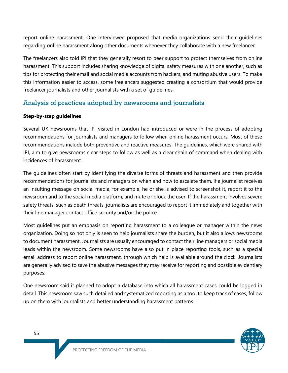report online harassment. One interviewee proposed that media organizations send their guidelines regarding online harassment along other documents whenever they collaborate with a new freelancer.

The freelancers also told IPI that they generally resort to peer support to protect themselves from online harassment. This support includes sharing knowledge of digital safety measures with one another, such as tips for protecting their email and social media accounts from hackers, and muting abusive users. To make this information easier to access, some freelancers suggested creating a consortium that would provide freelancer journalists and other journalists with a set of guidelines.

### Analysis of practices adopted by newsrooms and journalists

#### **Step-by-step guidelines**

Several UK newsrooms that IPI visited in London had introduced or were in the process of adopting recommendations for journalists and managers to follow when online harassment occurs. Most of these recommendations include both preventive and reactive measures. The guidelines, which were shared with IPI, aim to give newsrooms clear steps to follow as well as a clear chain of command when dealing with incidences of harassment.

The guidelines often start by identifying the diverse forms of threats and harassment and then provide recommendations for journalists and managers on when and how to escalate them. If a journalist receives an insulting message on social media, for example, he or she is advised to screenshot it, report it to the newsroom and to the social media platform, and mute or block the user. If the harassment involves severe safety threats, such as death threats, journalists are encouraged to report it immediately and together with their line manager contact office security and/or the police.

Most guidelines put an emphasis on reporting harassment to a colleague or manager within the news organization. Doing so not only is seen to help journalists share the burden, but it also allows newsrooms to document harassment. Journalists are usually encouraged to contact their line managers or social media leads within the newsroom. Some newsrooms have also put in place reporting tools, such as a special email address to report online harassment, through which help is available around the clock. Journalists are generally advised to save the abusive messages they may receive for reporting and possible evidentiary purposes.

One newsroom said it planned to adopt a database into which all harassment cases could be logged in detail. This newsroom saw such detailed and systematized reporting as a tool to keep track of cases, follow up on them with journalists and better understanding harassment patterns.

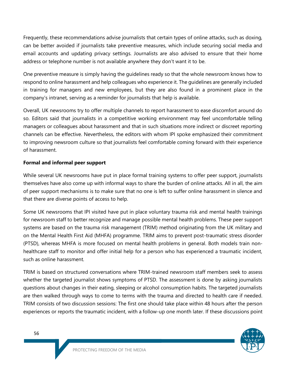Frequently, these recommendations advise journalists that certain types of online attacks, such as doxing, can be better avoided if journalists take preventive measures, which include securing social media and email accounts and updating privacy settings. Journalists are also advised to ensure that their home address or telephone number is not available anywhere they don't want it to be.

One preventive measure is simply having the guidelines ready so that the whole newsroom knows how to respond to online harassment and help colleagues who experience it. The guidelines are generally included in training for managers and new employees, but they are also found in a prominent place in the company's intranet, serving as a reminder for journalists that help is available.

Overall, UK newsrooms try to offer multiple channels to report harassment to ease discomfort around do so. Editors said that journalists in a competitive working environment may feel uncomfortable telling managers or colleagues about harassment and that in such situations more indirect or discreet reporting channels can be effective. Nevertheless, the editors with whom IPI spoke emphasized their commitment to improving newsroom culture so that journalists feel comfortable coming forward with their experience of harassment.

#### **Formal and informal peer support**

While several UK newsrooms have put in place formal training systems to offer peer support, journalists themselves have also come up with informal ways to share the burden of online attacks. All in all, the aim of peer support mechanisms is to make sure that no one is left to suffer online harassment in silence and that there are diverse points of access to help.

Some UK newsrooms that IPI visited have put in place voluntary trauma risk and mental health trainings for newsroom staff to better recognize and manage possible mental health problems. These peer support systems are based on the trauma risk management (TRIM) method originating from the UK military and on the Mental Health First Aid (MHFA) programme. TRIM aims to prevent post-traumatic stress disorder (PTSD), whereas MHFA is more focused on mental health problems in general. Both models train nonhealthcare staff to monitor and offer initial help for a person who has experienced a traumatic incident, such as online harassment.

TRIM is based on structured conversations where TRIM-trained newsroom staff members seek to assess whether the targeted journalist shows symptoms of PTSD. The assessment is done by asking journalists questions about changes in their eating, sleeping or alcohol consumption habits. The targeted journalists are then walked through ways to come to terms with the trauma and directed to health care if needed. TRIM consists of two discussion sessions: The first one should take place within 48 hours after the person experiences or reports the traumatic incident, with a follow-up one month later. If these discussions point

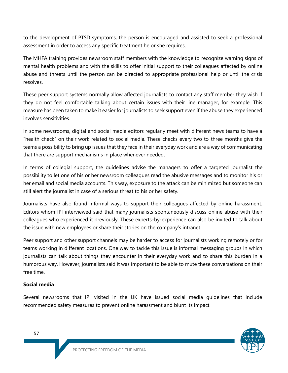to the development of PTSD symptoms, the person is encouraged and assisted to seek a professional assessment in order to access any specific treatment he or she requires.

The MHFA training provides newsroom staff members with the knowledge to recognize warning signs of mental health problems and with the skills to offer initial support to their colleagues affected by online abuse and threats until the person can be directed to appropriate professional help or until the crisis resolves.

These peer support systems normally allow affected journalists to contact any staff member they wish if they do not feel comfortable talking about certain issues with their line manager, for example. This measure has been taken to make it easier for journalists to seek support even if the abuse they experienced involves sensitivities.

In some newsrooms, digital and social media editors regularly meet with different news teams to have a "health check" on their work related to social media. These checks every two to three months give the teams a possibility to bring up issues that they face in their everyday work and are a way of communicating that there are support mechanisms in place whenever needed.

In terms of collegial support, the guidelines advise the managers to offer a targeted journalist the possibility to let one of his or her newsroom colleagues read the abusive messages and to monitor his or her email and social media accounts. This way, exposure to the attack can be minimized but someone can still alert the journalist in case of a serious threat to his or her safety.

Journalists have also found informal ways to support their colleagues affected by online harassment. Editors whom IPI interviewed said that many journalists spontaneously discuss online abuse with their colleagues who experienced it previously. These experts-by-experience can also be invited to talk about the issue with new employees or share their stories on the company's intranet.

Peer support and other support channels may be harder to access for journalists working remotely or for teams working in different locations. One way to tackle this issue is informal messaging groups in which journalists can talk about things they encounter in their everyday work and to share this burden in a humorous way. However, journalists said it was important to be able to mute these conversations on their free time.

#### **Social media**

Several newsrooms that IPI visited in the UK have issued social media guidelines that include recommended safety measures to prevent online harassment and blunt its impact.

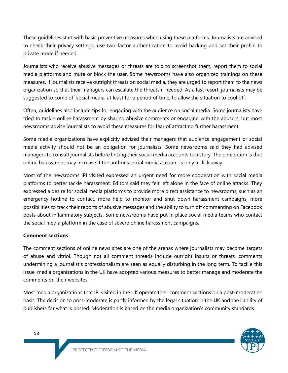These guidelines start with basic preventive measures when using these platforms. Journalists are advised to check their privacy settings, use two-factor authentication to avoid hacking and set their profile to private mode if needed.

Journalists who receive abusive messages or threats are told to screenshot them, report them to social media platforms and mute or block the user. Some newsrooms have also organized trainings on these measures. If journalists receive outright threats on social media, they are urged to report them to the news organization so that their managers can escalate the threats if needed. As a last resort, journalists may be suggested to come off social media, at least for a period of time, to allow the situation to cool off.

Often, guidelines also include tips for engaging with the audience on social media. Some journalists have tried to tackle online harassment by sharing abusive comments or engaging with the abusers, but most newsrooms advise journalists to avoid these measures for fear of attracting further harassment.

Some media organizations have explicitly advised their managers that audience engagement or social media activity should not be an obligation for journalists. Some newsrooms said they had advised managers to consult journalists before linking their social media accounts to a story. The perception is that online harassment may increase if the author's social media account is only a click away.

Most of the newsrooms IPI visited expressed an urgent need for more cooperation with social media platforms to better tackle harassment. Editors said they felt left alone in the face of online attacks. They expressed a desire for social media platforms to provide more direct assistance to newsrooms, such as an emergency hotline to contact, more help to monitor and shut down harassment campaigns, more possibilities to track their reports of abusive messages and the ability to turn off commenting on Facebook posts about inflammatory subjects. Some newsrooms have put in place social media teams who contact the social media platform in the case of severe online harassment campaigns.

#### **Comment sections**

The comment sections of online news sites are one of the arenas where journalists may become targets of abuse and vitriol. Though not all comment threads include outright insults or threats, comments undermining a journalist's professionalism are seen as equally disturbing in the long term. To tackle this issue, media organizations in the UK have adopted various measures to better manage and moderate the comments on their websites.

Most media organizations that IPI visited in the UK operate their comment sections on a post-moderation basis. The decision to post-moderate is partly informed by the legal situation in the UK and the liability of publishers for what is posted. Moderation is based on the media organization's community standards.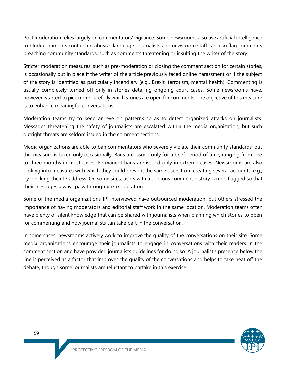Post moderation relies largely on commentators' vigilance. Some newsrooms also use artificial intelligence to block comments containing abusive language. Journalists and newsroom staff can also flag comments breaching community standards, such as comments threatening or insulting the writer of the story.

Stricter moderation measures, such as pre-moderation or closing the comment section for certain stories, is occasionally put in place if the writer of the article previously faced online harassment or if the subject of the story is identified as particularly incendiary (e.g., Brexit, terrorism, mental health). Commenting is usually completely turned off only in stories detailing ongoing court cases. Some newsrooms have, however, started to pick more carefully which stories are open for comments. The objective of this measure is to enhance meaningful conversations.

Moderation teams try to keep an eye on patterns so as to detect organized attacks on journalists. Messages threatening the safety of journalists are escalated within the media organization, but such outright threats are seldom issued in the comment sections.

Media organizations are able to ban commentators who severely violate their community standards, but this measure is taken only occasionally. Bans are issued only for a brief period of time, ranging from one to three months in most cases. Permanent bans are issued only in extreme cases. Newsrooms are also looking into measures with which they could prevent the same users from creating several accounts, e.g., by blocking their IP address. On some sites, users with a dubious comment history can be flagged so that their messages always pass through pre-moderation.

Some of the media organizations IPI interviewed have outsourced moderation, but others stressed the importance of having moderators and editorial staff work in the same location. Moderation teams often have plenty of silent knowledge that can be shared with journalists when planning which stories to open for commenting and how journalists can take part in the conversation.

In some cases, newsrooms actively work to improve the quality of the conversations on their site. Some media organizations encourage their journalists to engage in conversations with their readers in the comment section and have provided journalists guidelines for doing so. A journalist's presence below the line is perceived as a factor that improves the quality of the conversations and helps to take heat off the debate, though some journalists are reluctant to partake in this exercise.

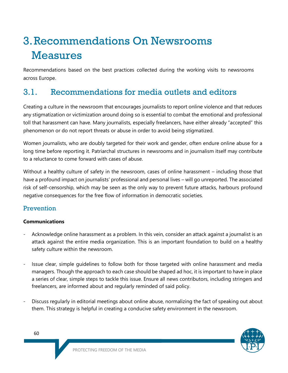# 3.Recommendations On Newsrooms Measures

Recommendations based on the best practices collected during the working visits to newsrooms across Europe.

# 3.1. Recommendations for media outlets and editors

Creating a culture in the newsroom that encourages journalists to report online violence and that reduces any stigmatization or victimization around doing so is essential to combat the emotional and professional toll that harassment can have. Many journalists, especially freelancers, have either already "accepted" this phenomenon or do not report threats or abuse in order to avoid being stigmatized.

Women journalists, who are doubly targeted for their work and gender, often endure online abuse for a long time before reporting it. Patriarchal structures in newsrooms and in journalism itself may contribute to a reluctance to come forward with cases of abuse.

Without a healthy culture of safety in the newsroom, cases of online harassment – including those that have a profound impact on journalists' professional and personal lives – will go unreported. The associated risk of self-censorship, which may be seen as the only way to prevent future attacks, harbours profound negative consequences for the free flow of information in democratic societies.

### **Prevention**

#### **Communications**

- Acknowledge online harassment as a problem. In this vein, consider an attack against a journalist is an attack against the entire media organization. This is an important foundation to build on a healthy safety culture within the newsroom.
- Issue clear, simple quidelines to follow both for those targeted with online harassment and media managers. Though the approach to each case should be shaped ad hoc, it is important to have in place a series of clear, simple steps to tackle this issue. Ensure all news contributors, including stringers and freelancers, are informed about and regularly reminded of said policy.
- Discuss regularly in editorial meetings about online abuse, normalizing the fact of speaking out about them. This strategy is helpful in creating a conducive safety environment in the newsroom.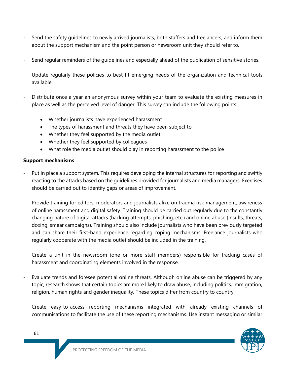- Send the safety guidelines to newly arrived journalists, both staffers and freelancers, and inform them about the support mechanism and the point person or newsroom unit they should refer to.
- Send regular reminders of the guidelines and especially ahead of the publication of sensitive stories.
- Update regularly these policies to best fit emerging needs of the organization and technical tools available.
- Distribute once a year an anonymous survey within your team to evaluate the existing measures in place as well as the perceived level of danger. This survey can include the following points:
	- Whether journalists have experienced harassment
	- The types of harassment and threats they have been subject to
	- Whether they feel supported by the media outlet
	- Whether they feel supported by colleagues
	- What role the media outlet should play in reporting harassment to the police

#### **Support mechanisms**

- Put in place a support system. This requires developing the internal structures for reporting and swiftly reacting to the attacks based on the guidelines provided for journalists and media managers. Exercises should be carried out to identify gaps or areas of improvement.
- Provide training for editors, moderators and journalists alike on trauma risk management, awareness of online harassment and digital safety. Training should be carried out regularly due to the constantly changing nature of digital attacks (hacking attempts, phishing, etc.) and online abuse (insults, threats, doxing, smear campaigns). Training should also include journalists who have been previously targeted and can share their first-hand experience regarding coping mechanisms. Freelance journalists who regularly cooperate with the media outlet should be included in the training.
- Create a unit in the newsroom (one or more staff members) responsible for tracking cases of harassment and coordinating elements involved in the response.
- Evaluate trends and foresee potential online threats. Although online abuse can be triggered by any topic, research shows that certain topics are more likely to draw abuse, including politics, immigration, religion, human rights and gender inequality. These topics differ from country to country.
- Create easy-to-access reporting mechanisms integrated with already existing channels of communications to facilitate the use of these reporting mechanisms. Use instant messaging or similar

61

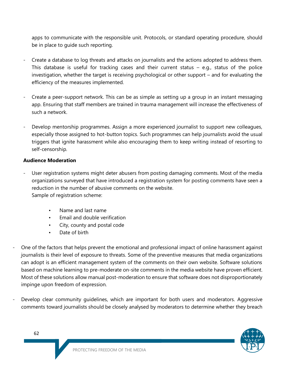apps to communicate with the responsible unit. Protocols, or standard operating procedure, should be in place to guide such reporting.

- Create a database to log threats and attacks on journalists and the actions adopted to address them. This database is useful for tracking cases and their current status  $-$  e.g., status of the police investigation, whether the target is receiving psychological or other support – and for evaluating the efficiency of the measures implemented.
- Create a peer-support network. This can be as simple as setting up a group in an instant messaging app. Ensuring that staff members are trained in trauma management will increase the effectiveness of such a network.
- Develop mentorship programmes. Assign a more experienced journalist to support new colleagues, especially those assigned to hot-button topics. Such programmes can help journalists avoid the usual triggers that ignite harassment while also encouraging them to keep writing instead of resorting to self-censorship.

#### **Audience Moderation**

- User registration systems might deter abusers from posting damaging comments. Most of the media organizations surveyed that have introduced a registration system for posting comments have seen a reduction in the number of abusive comments on the website. Sample of registration scheme:
	- Name and last name
	- Email and double verification
	- City, county and postal code
	- Date of birth
- One of the factors that helps prevent the emotional and professional impact of online harassment against journalists is their level of exposure to threats. Some of the preventive measures that media organizations can adopt is an efficient management system of the comments on their own website. Software solutions based on machine learning to pre-moderate on-site comments in the media website have proven efficient. Most of these solutions allow manual post-moderation to ensure that software does not disproportionately impinge upon freedom of expression.
- Develop clear community guidelines, which are important for both users and moderators. Aggressive comments toward journalists should be closely analysed by moderators to determine whether they breach

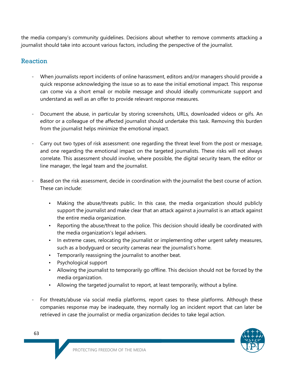the media company's community guidelines. Decisions about whether to remove comments attacking a journalist should take into account various factors, including the perspective of the journalist.

### Reaction

- When journalists report incidents of online harassment, editors and/or managers should provide a quick response acknowledging the issue so as to ease the initial emotional impact. This response can come via a short email or mobile message and should ideally communicate support and understand as well as an offer to provide relevant response measures.
- Document the abuse, in particular by storing screenshots, URLs, downloaded videos or gifs. An editor or a colleague of the affected journalist should undertake this task. Removing this burden from the journalist helps minimize the emotional impact.
- Carry out two types of risk assessment: one regarding the threat level from the post or message, and one regarding the emotional impact on the targeted journalists. These risks will not always correlate. This assessment should involve, where possible, the digital security team, the editor or line manager, the legal team and the journalist.
- Based on the risk assessment, decide in coordination with the journalist the best course of action. These can include:
	- Making the abuse/threats public. In this case, the media organization should publicly support the journalist and make clear that an attack against a journalist is an attack against the entire media organization.
	- Reporting the abuse/threat to the police. This decision should ideally be coordinated with the media organization's legal advisers.
	- In extreme cases, relocating the journalist or implementing other urgent safety measures, such as a bodyguard or security cameras near the journalist's home.
	- Temporarily reassigning the journalist to another beat.
	- Psychological support
	- Allowing the journalist to temporarily go offline. This decision should not be forced by the media organization.
	- Allowing the targeted journalist to report, at least temporarily, without a byline.
- For threats/abuse via social media platforms, report cases to these platforms. Although these companies response may be inadequate, they normally log an incident report that can later be retrieved in case the journalist or media organization decides to take legal action.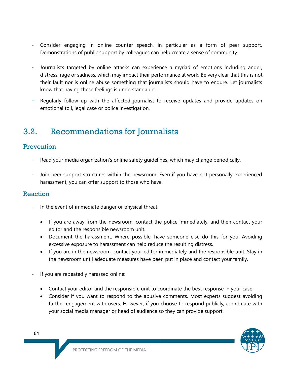- Consider engaging in online counter speech, in particular as a form of peer support. Demonstrations of public support by colleagues can help create a sense of community.
- Journalists targeted by online attacks can experience a myriad of emotions including anger, distress, rage or sadness, which may impact their performance at work. Be very clear that this is not their fault nor is online abuse something that journalists should have to endure. Let journalists know that having these feelings is understandable.
- Regularly follow up with the affected journalist to receive updates and provide updates on emotional toll, legal case or police investigation.

# 3.2. Recommendations for Journalists

### Prevention

- Read your media organization's online safety guidelines, which may change periodically.
- Join peer support structures within the newsroom. Even if you have not personally experienced harassment, you can offer support to those who have.

### Reaction

- In the event of immediate danger or physical threat:
	- If you are away from the newsroom, contact the police immediately, and then contact your editor and the responsible newsroom unit.
	- Document the harassment. Where possible, have someone else do this for you. Avoiding excessive exposure to harassment can help reduce the resulting distress.
	- If you are in the newsroom, contact your editor immediately and the responsible unit. Stay in the newsroom until adequate measures have been put in place and contact your family.
- If you are repeatedly harassed online:
	- Contact your editor and the responsible unit to coordinate the best response in your case.
	- Consider if you want to respond to the abusive comments. Most experts suggest avoiding further engagement with users. However, if you choose to respond publicly, coordinate with your social media manager or head of audience so they can provide support.

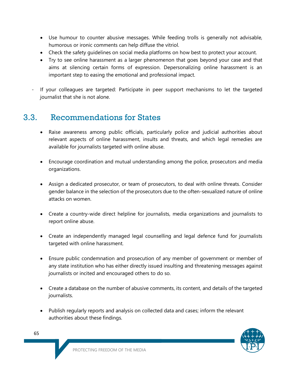- Use humour to counter abusive messages. While feeding trolls is generally not advisable, humorous or ironic comments can help diffuse the vitriol.
- Check the safety guidelines on social media platforms on how best to protect your account.
- Try to see online harassment as a larger phenomenon that goes beyond your case and that aims at silencing certain forms of expression. Depersonalizing online harassment is an important step to easing the emotional and professional impact.
- If your colleagues are targeted: Participate in peer support mechanisms to let the targeted journalist that she is not alone.

# 3.3. Recommendations for States

- Raise awareness among public officials, particularly police and judicial authorities about relevant aspects of online harassment, insults and threats, and which legal remedies are available for journalists targeted with online abuse.
- Encourage coordination and mutual understanding among the police, prosecutors and media organizations.
- Assign a dedicated prosecutor, or team of prosecutors, to deal with online threats. Consider gender balance in the selection of the prosecutors due to the often-sexualized nature of online attacks on women.
- Create a country-wide direct helpline for journalists, media organizations and journalists to report online abuse.
- Create an independently managed legal counselling and legal defence fund for journalists targeted with online harassment.
- Ensure public condemnation and prosecution of any member of government or member of any state institution who has either directly issued insulting and threatening messages against journalists or incited and encouraged others to do so.
- Create a database on the number of abusive comments, its content, and details of the targeted journalists.
- Publish regularly reports and analysis on collected data and cases; inform the relevant authorities about these findings.



65